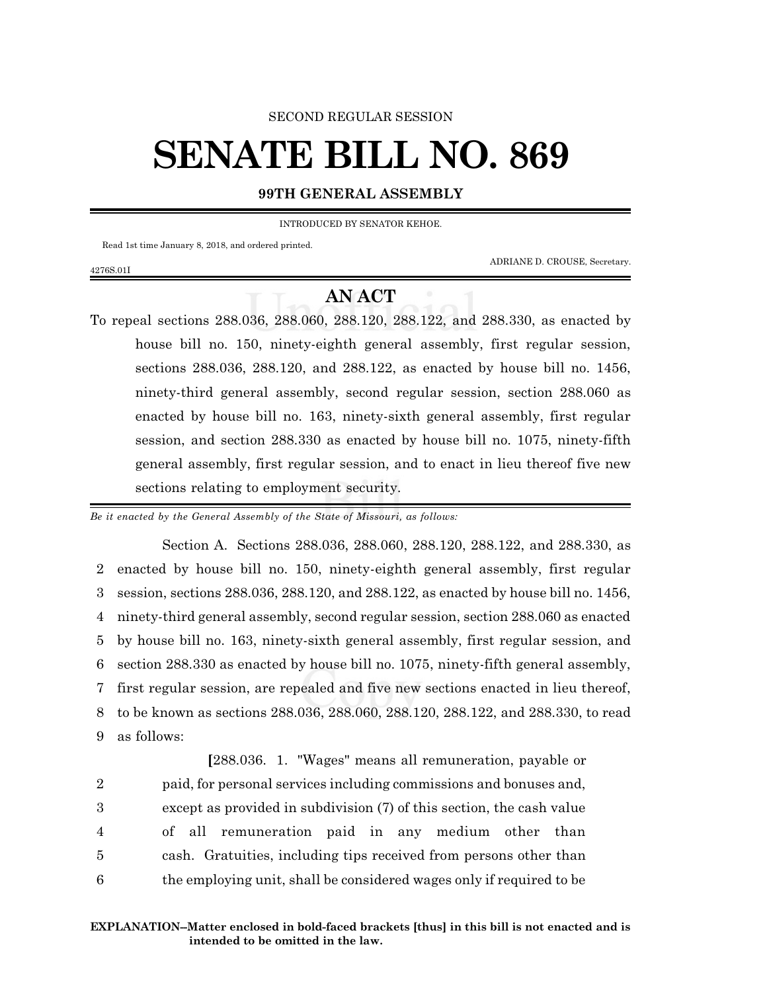#### SECOND REGULAR SESSION

# **SENATE BILL NO. 869**

#### **99TH GENERAL ASSEMBLY**

INTRODUCED BY SENATOR KEHOE.

Read 1st time January 8, 2018, and ordered printed.

ADRIANE D. CROUSE, Secretary.

#### 4276S.01I

### **AN ACT**

To repeal sections 288.036, 288.060, 288.120, 288.122, and 288.330, as enacted by house bill no. 150, ninety-eighth general assembly, first regular session, sections 288.036, 288.120, and 288.122, as enacted by house bill no. 1456, ninety-third general assembly, second regular session, section 288.060 as enacted by house bill no. 163, ninety-sixth general assembly, first regular session, and section 288.330 as enacted by house bill no. 1075, ninety-fifth general assembly, first regular session, and to enact in lieu thereof five new sections relating to employment security.

*Be it enacted by the General Assembly of the State of Missouri, as follows:*

Section A. Sections 288.036, 288.060, 288.120, 288.122, and 288.330, as enacted by house bill no. 150, ninety-eighth general assembly, first regular session, sections 288.036, 288.120, and 288.122, as enacted by house bill no. 1456, ninety-third general assembly, second regular session, section 288.060 as enacted by house bill no. 163, ninety-sixth general assembly, first regular session, and section 288.330 as enacted by house bill no. 1075, ninety-fifth general assembly, first regular session, are repealed and five new sections enacted in lieu thereof, to be known as sections 288.036, 288.060, 288.120, 288.122, and 288.330, to read as follows:

**[**288.036. 1. "Wages" means all remuneration, payable or paid, for personal services including commissions and bonuses and, except as provided in subdivision (7) of this section, the cash value of all remuneration paid in any medium other than cash. Gratuities, including tips received from persons other than the employing unit, shall be considered wages only if required to be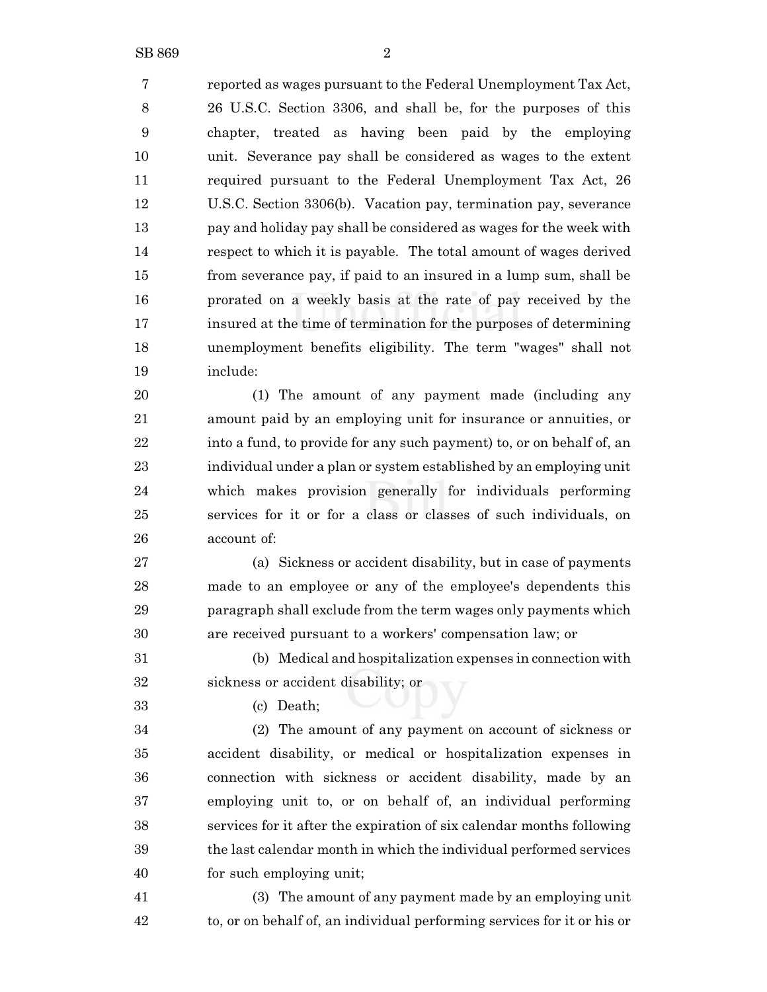reported as wages pursuant to the Federal Unemployment Tax Act, 26 U.S.C. Section 3306, and shall be, for the purposes of this chapter, treated as having been paid by the employing unit. Severance pay shall be considered as wages to the extent required pursuant to the Federal Unemployment Tax Act, 26 U.S.C. Section 3306(b). Vacation pay, termination pay, severance pay and holiday pay shall be considered as wages for the week with respect to which it is payable. The total amount of wages derived from severance pay, if paid to an insured in a lump sum, shall be prorated on a weekly basis at the rate of pay received by the insured at the time of termination for the purposes of determining unemployment benefits eligibility. The term "wages" shall not include:

 (1) The amount of any payment made (including any amount paid by an employing unit for insurance or annuities, or 22 into a fund, to provide for any such payment) to, or on behalf of, an individual under a plan or system established by an employing unit which makes provision generally for individuals performing services for it or for a class or classes of such individuals, on account of:

 (a) Sickness or accident disability, but in case of payments made to an employee or any of the employee's dependents this paragraph shall exclude from the term wages only payments which are received pursuant to a workers' compensation law; or

 (b) Medical and hospitalization expenses in connection with sickness or accident disability; or

(c) Death;

 (2) The amount of any payment on account of sickness or accident disability, or medical or hospitalization expenses in connection with sickness or accident disability, made by an employing unit to, or on behalf of, an individual performing services for it after the expiration of six calendar months following the last calendar month in which the individual performed services for such employing unit;

 (3) The amount of any payment made by an employing unit to, or on behalf of, an individual performing services for it or his or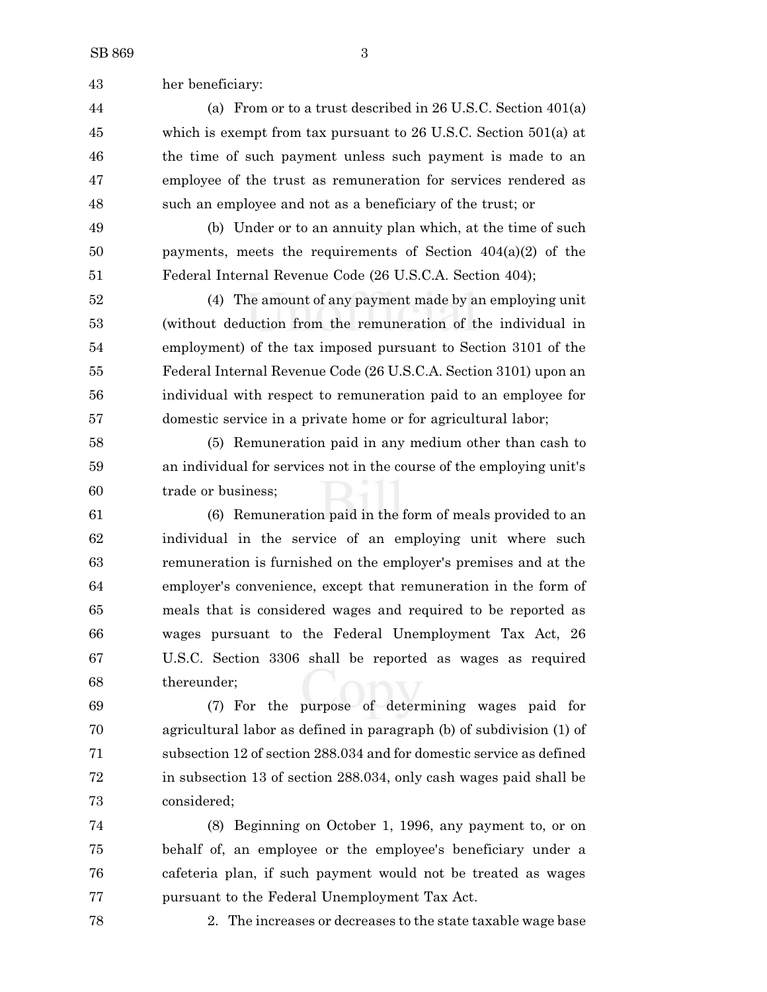her beneficiary:

 (a) From or to a trust described in 26 U.S.C. Section 401(a) which is exempt from tax pursuant to 26 U.S.C. Section 501(a) at the time of such payment unless such payment is made to an employee of the trust as remuneration for services rendered as such an employee and not as a beneficiary of the trust; or

 (b) Under or to an annuity plan which, at the time of such payments, meets the requirements of Section 404(a)(2) of the Federal Internal Revenue Code (26 U.S.C.A. Section 404);

 (4) The amount of any payment made by an employing unit (without deduction from the remuneration of the individual in employment) of the tax imposed pursuant to Section 3101 of the Federal Internal Revenue Code (26 U.S.C.A. Section 3101) upon an individual with respect to remuneration paid to an employee for domestic service in a private home or for agricultural labor;

 (5) Remuneration paid in any medium other than cash to an individual for services not in the course of the employing unit's trade or business;

 (6) Remuneration paid in the form of meals provided to an individual in the service of an employing unit where such remuneration is furnished on the employer's premises and at the employer's convenience, except that remuneration in the form of meals that is considered wages and required to be reported as wages pursuant to the Federal Unemployment Tax Act, 26 U.S.C. Section 3306 shall be reported as wages as required thereunder;

 (7) For the purpose of determining wages paid for agricultural labor as defined in paragraph (b) of subdivision (1) of subsection 12 of section 288.034 and for domestic service as defined in subsection 13 of section 288.034, only cash wages paid shall be considered;

 (8) Beginning on October 1, 1996, any payment to, or on behalf of, an employee or the employee's beneficiary under a cafeteria plan, if such payment would not be treated as wages pursuant to the Federal Unemployment Tax Act.

2. The increases or decreases to the state taxable wage base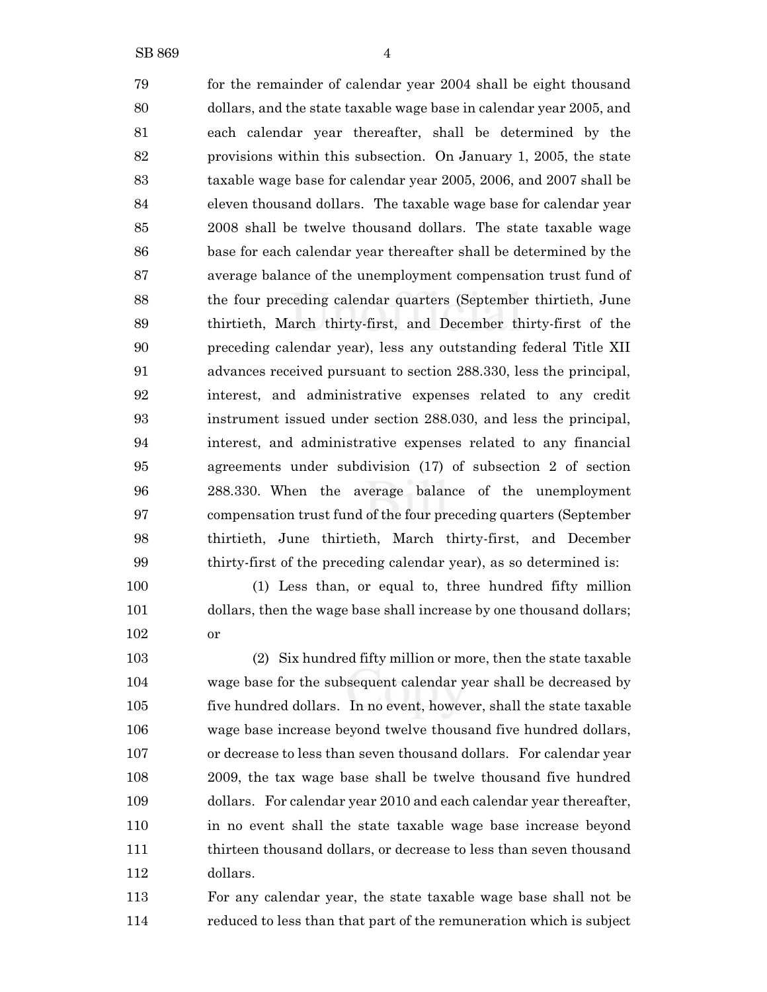for the remainder of calendar year 2004 shall be eight thousand dollars, and the state taxable wage base in calendar year 2005, and each calendar year thereafter, shall be determined by the provisions within this subsection. On January 1, 2005, the state taxable wage base for calendar year 2005, 2006, and 2007 shall be eleven thousand dollars. The taxable wage base for calendar year 2008 shall be twelve thousand dollars. The state taxable wage base for each calendar year thereafter shall be determined by the average balance of the unemployment compensation trust fund of the four preceding calendar quarters (September thirtieth, June thirtieth, March thirty-first, and December thirty-first of the preceding calendar year), less any outstanding federal Title XII advances received pursuant to section 288.330, less the principal, interest, and administrative expenses related to any credit instrument issued under section 288.030, and less the principal, interest, and administrative expenses related to any financial agreements under subdivision (17) of subsection 2 of section 288.330. When the average balance of the unemployment compensation trust fund of the four preceding quarters (September thirtieth, June thirtieth, March thirty-first, and December thirty-first of the preceding calendar year), as so determined is: (1) Less than, or equal to, three hundred fifty million

 dollars, then the wage base shall increase by one thousand dollars; or

 (2) Six hundred fifty million or more, then the state taxable wage base for the subsequent calendar year shall be decreased by five hundred dollars. In no event, however, shall the state taxable wage base increase beyond twelve thousand five hundred dollars, or decrease to less than seven thousand dollars. For calendar year 2009, the tax wage base shall be twelve thousand five hundred dollars. For calendar year 2010 and each calendar year thereafter, in no event shall the state taxable wage base increase beyond thirteen thousand dollars, or decrease to less than seven thousand dollars.

 For any calendar year, the state taxable wage base shall not be reduced to less than that part of the remuneration which is subject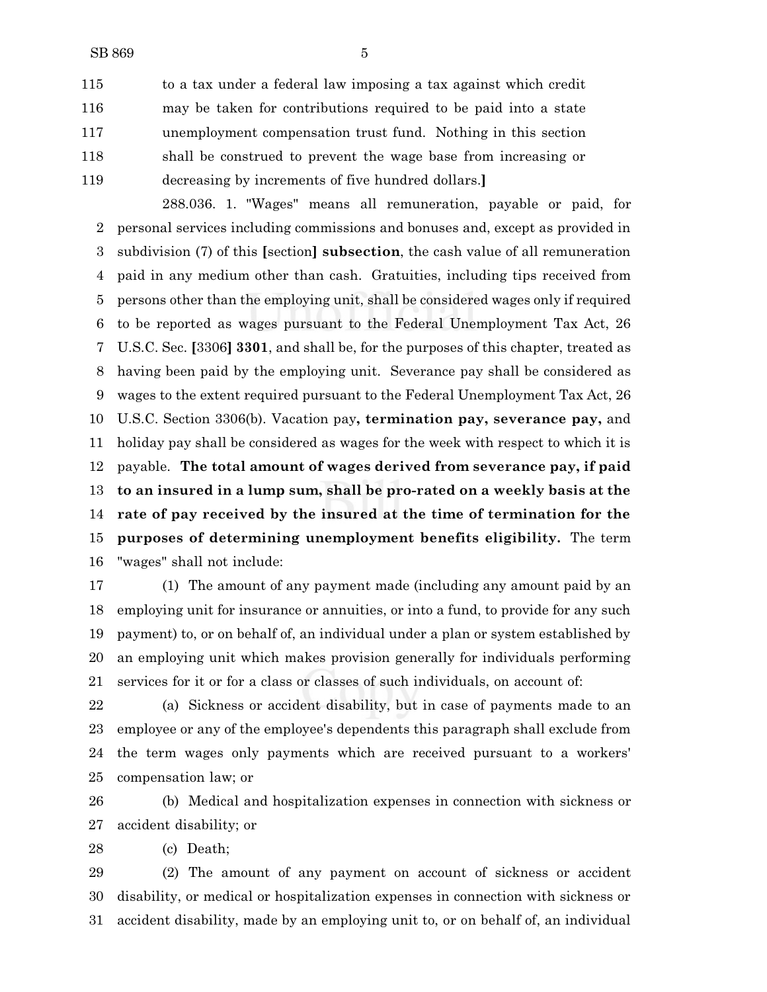to a tax under a federal law imposing a tax against which credit may be taken for contributions required to be paid into a state unemployment compensation trust fund. Nothing in this section shall be construed to prevent the wage base from increasing or decreasing by increments of five hundred dollars.**]**

288.036. 1. "Wages" means all remuneration, payable or paid, for personal services including commissions and bonuses and, except as provided in subdivision (7) of this **[**section**] subsection**, the cash value of all remuneration paid in any medium other than cash. Gratuities, including tips received from persons other than the employing unit, shall be considered wages only if required to be reported as wages pursuant to the Federal Unemployment Tax Act, 26 U.S.C. Sec. **[**3306**] 3301**, and shall be, for the purposes of this chapter, treated as having been paid by the employing unit. Severance pay shall be considered as wages to the extent required pursuant to the Federal Unemployment Tax Act, 26 U.S.C. Section 3306(b). Vacation pay**, termination pay, severance pay,** and holiday pay shall be considered as wages for the week with respect to which it is payable. **The total amount of wages derived from severance pay, if paid to an insured in a lump sum, shall be pro-rated on a weekly basis at the rate of pay received by the insured at the time of termination for the purposes of determining unemployment benefits eligibility.** The term "wages" shall not include:

 (1) The amount of any payment made (including any amount paid by an employing unit for insurance or annuities, or into a fund, to provide for any such payment) to, or on behalf of, an individual under a plan or system established by an employing unit which makes provision generally for individuals performing services for it or for a class or classes of such individuals, on account of:

 (a) Sickness or accident disability, but in case of payments made to an employee or any of the employee's dependents this paragraph shall exclude from the term wages only payments which are received pursuant to a workers' compensation law; or

 (b) Medical and hospitalization expenses in connection with sickness or accident disability; or

(c) Death;

 (2) The amount of any payment on account of sickness or accident disability, or medical or hospitalization expenses in connection with sickness or accident disability, made by an employing unit to, or on behalf of, an individual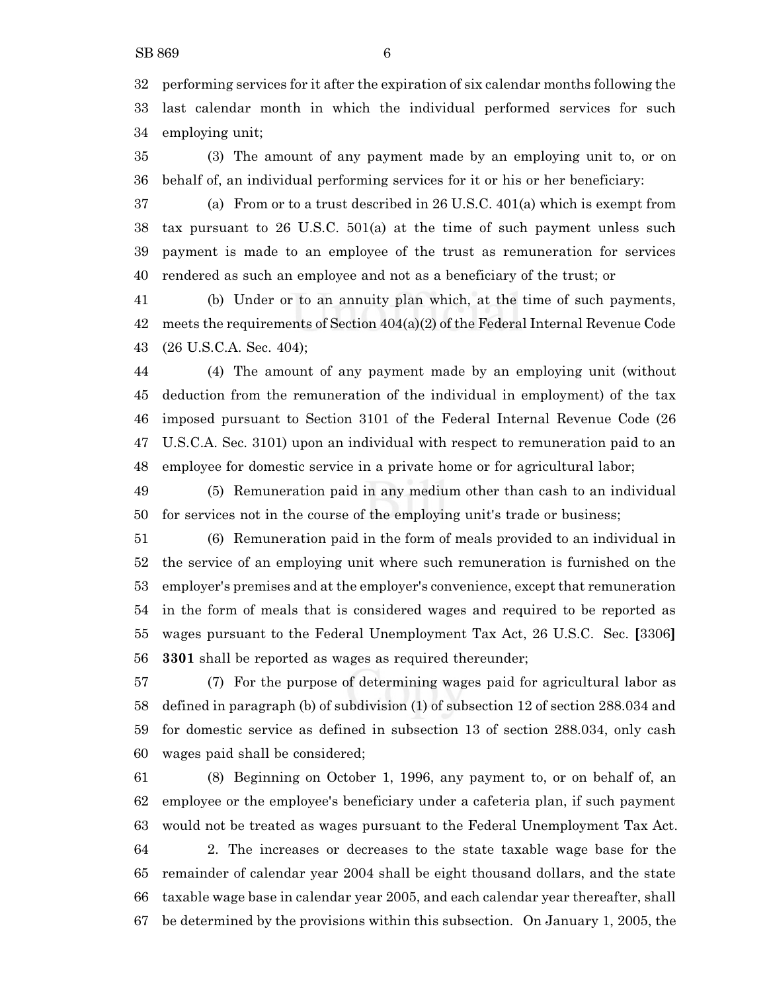performing services for it after the expiration of six calendar months following the last calendar month in which the individual performed services for such employing unit;

 (3) The amount of any payment made by an employing unit to, or on behalf of, an individual performing services for it or his or her beneficiary:

 (a) From or to a trust described in 26 U.S.C. 401(a) which is exempt from tax pursuant to 26 U.S.C. 501(a) at the time of such payment unless such payment is made to an employee of the trust as remuneration for services rendered as such an employee and not as a beneficiary of the trust; or

 (b) Under or to an annuity plan which, at the time of such payments, 42 meets the requirements of Section  $404(a)(2)$  of the Federal Internal Revenue Code (26 U.S.C.A. Sec. 404);

 (4) The amount of any payment made by an employing unit (without deduction from the remuneration of the individual in employment) of the tax imposed pursuant to Section 3101 of the Federal Internal Revenue Code (26 U.S.C.A. Sec. 3101) upon an individual with respect to remuneration paid to an employee for domestic service in a private home or for agricultural labor;

 (5) Remuneration paid in any medium other than cash to an individual for services not in the course of the employing unit's trade or business;

 (6) Remuneration paid in the form of meals provided to an individual in the service of an employing unit where such remuneration is furnished on the employer's premises and at the employer's convenience, except that remuneration in the form of meals that is considered wages and required to be reported as wages pursuant to the Federal Unemployment Tax Act, 26 U.S.C. Sec. **[**3306**] 3301** shall be reported as wages as required thereunder;

 (7) For the purpose of determining wages paid for agricultural labor as defined in paragraph (b) of subdivision (1) of subsection 12 of section 288.034 and for domestic service as defined in subsection 13 of section 288.034, only cash wages paid shall be considered;

 (8) Beginning on October 1, 1996, any payment to, or on behalf of, an employee or the employee's beneficiary under a cafeteria plan, if such payment would not be treated as wages pursuant to the Federal Unemployment Tax Act. 2. The increases or decreases to the state taxable wage base for the remainder of calendar year 2004 shall be eight thousand dollars, and the state taxable wage base in calendar year 2005, and each calendar year thereafter, shall be determined by the provisions within this subsection. On January 1, 2005, the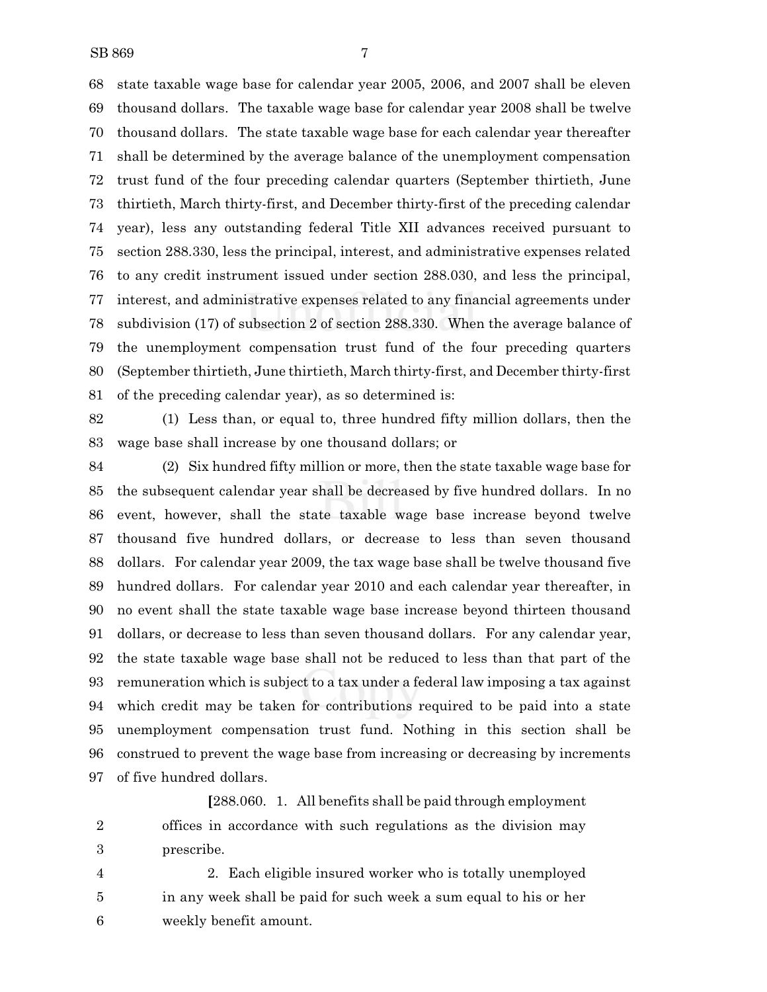SB 869 7

 state taxable wage base for calendar year 2005, 2006, and 2007 shall be eleven thousand dollars. The taxable wage base for calendar year 2008 shall be twelve thousand dollars. The state taxable wage base for each calendar year thereafter shall be determined by the average balance of the unemployment compensation trust fund of the four preceding calendar quarters (September thirtieth, June thirtieth, March thirty-first, and December thirty-first of the preceding calendar year), less any outstanding federal Title XII advances received pursuant to section 288.330, less the principal, interest, and administrative expenses related to any credit instrument issued under section 288.030, and less the principal, interest, and administrative expenses related to any financial agreements under subdivision (17) of subsection 2 of section 288.330. When the average balance of the unemployment compensation trust fund of the four preceding quarters (September thirtieth, June thirtieth, March thirty-first, and December thirty-first of the preceding calendar year), as so determined is:

 (1) Less than, or equal to, three hundred fifty million dollars, then the wage base shall increase by one thousand dollars; or

 (2) Six hundred fifty million or more, then the state taxable wage base for the subsequent calendar year shall be decreased by five hundred dollars. In no event, however, shall the state taxable wage base increase beyond twelve thousand five hundred dollars, or decrease to less than seven thousand dollars. For calendar year 2009, the tax wage base shall be twelve thousand five hundred dollars. For calendar year 2010 and each calendar year thereafter, in no event shall the state taxable wage base increase beyond thirteen thousand dollars, or decrease to less than seven thousand dollars. For any calendar year, the state taxable wage base shall not be reduced to less than that part of the remuneration which is subject to a tax under a federal law imposing a tax against which credit may be taken for contributions required to be paid into a state unemployment compensation trust fund. Nothing in this section shall be construed to prevent the wage base from increasing or decreasing by increments of five hundred dollars.

**[**288.060. 1. All benefits shall be paid through employment offices in accordance with such regulations as the division may prescribe.

 2. Each eligible insured worker who is totally unemployed in any week shall be paid for such week a sum equal to his or her weekly benefit amount.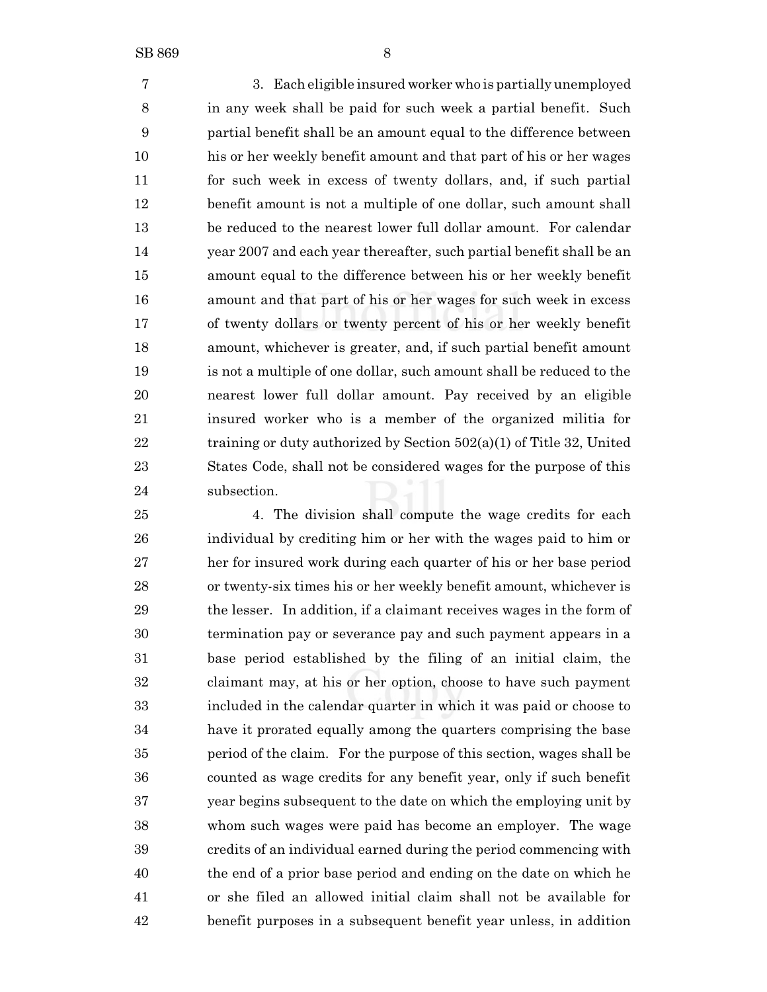3. Each eligible insured worker who is partially unemployed in any week shall be paid for such week a partial benefit. Such partial benefit shall be an amount equal to the difference between his or her weekly benefit amount and that part of his or her wages for such week in excess of twenty dollars, and, if such partial benefit amount is not a multiple of one dollar, such amount shall be reduced to the nearest lower full dollar amount. For calendar year 2007 and each year thereafter, such partial benefit shall be an amount equal to the difference between his or her weekly benefit amount and that part of his or her wages for such week in excess of twenty dollars or twenty percent of his or her weekly benefit amount, whichever is greater, and, if such partial benefit amount is not a multiple of one dollar, such amount shall be reduced to the nearest lower full dollar amount. Pay received by an eligible insured worker who is a member of the organized militia for 22 training or duty authorized by Section  $502(a)(1)$  of Title 32, United States Code, shall not be considered wages for the purpose of this subsection.

 4. The division shall compute the wage credits for each individual by crediting him or her with the wages paid to him or her for insured work during each quarter of his or her base period or twenty-six times his or her weekly benefit amount, whichever is the lesser. In addition, if a claimant receives wages in the form of termination pay or severance pay and such payment appears in a base period established by the filing of an initial claim, the claimant may, at his or her option, choose to have such payment included in the calendar quarter in which it was paid or choose to have it prorated equally among the quarters comprising the base period of the claim. For the purpose of this section, wages shall be counted as wage credits for any benefit year, only if such benefit year begins subsequent to the date on which the employing unit by whom such wages were paid has become an employer. The wage credits of an individual earned during the period commencing with the end of a prior base period and ending on the date on which he or she filed an allowed initial claim shall not be available for benefit purposes in a subsequent benefit year unless, in addition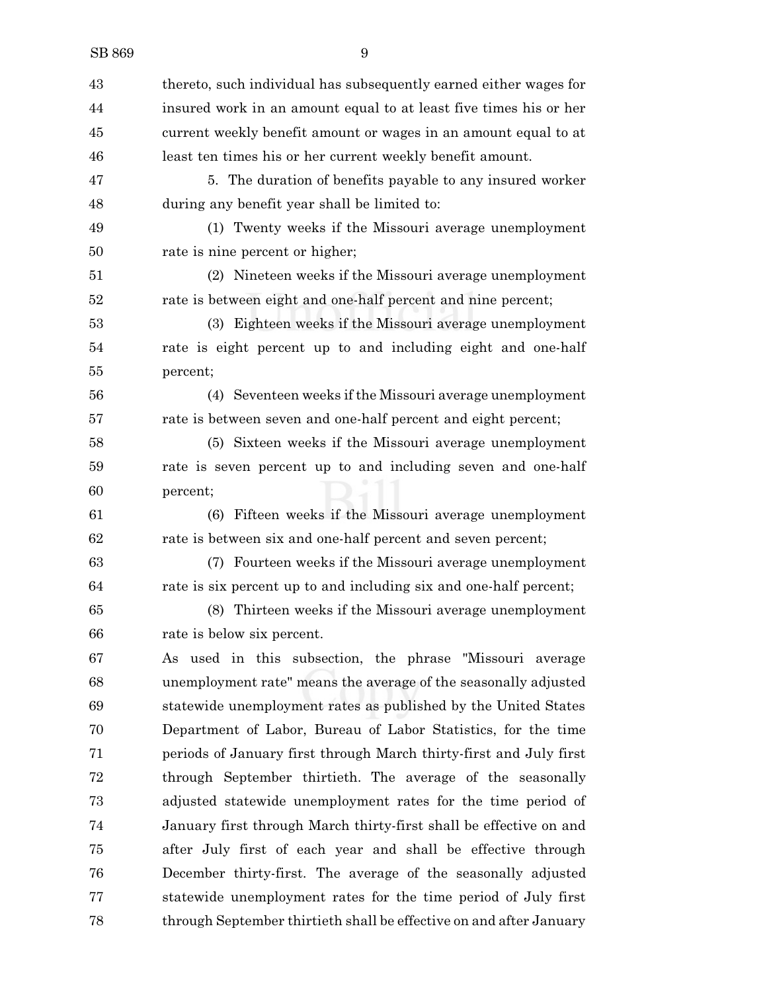| 43 | thereto, such individual has subsequently earned either wages for   |
|----|---------------------------------------------------------------------|
| 44 | insured work in an amount equal to at least five times his or her   |
| 45 | current weekly benefit amount or wages in an amount equal to at     |
| 46 | least ten times his or her current weekly benefit amount.           |
| 47 | 5. The duration of benefits payable to any insured worker           |
| 48 | during any benefit year shall be limited to:                        |
| 49 | (1) Twenty weeks if the Missouri average unemployment               |
| 50 | rate is nine percent or higher;                                     |
| 51 | (2) Nineteen weeks if the Missouri average unemployment             |
| 52 | rate is between eight and one-half percent and nine percent;        |
| 53 | (3) Eighteen weeks if the Missouri average unemployment             |
| 54 | rate is eight percent up to and including eight and one-half        |
| 55 | percent;                                                            |
| 56 | (4) Seventeen weeks if the Missouri average unemployment            |
| 57 | rate is between seven and one-half percent and eight percent;       |
| 58 | (5) Sixteen weeks if the Missouri average unemployment              |
| 59 | rate is seven percent up to and including seven and one-half        |
| 60 | percent;                                                            |
| 61 | (6) Fifteen weeks if the Missouri average unemployment              |
| 62 | rate is between six and one-half percent and seven percent;         |
| 63 | (7) Fourteen weeks if the Missouri average unemployment             |
| 64 | rate is six percent up to and including six and one-half percent;   |
| 65 | Thirteen weeks if the Missouri average unemployment<br>(8)          |
| 66 | rate is below six percent.                                          |
| 67 | As used in this subsection, the phrase "Missouri average            |
| 68 | unemployment rate" means the average of the seasonally adjusted     |
| 69 | statewide unemployment rates as published by the United States      |
| 70 | Department of Labor, Bureau of Labor Statistics, for the time       |
| 71 | periods of January first through March thirty-first and July first  |
| 72 | through September thirtieth. The average of the seasonally          |
| 73 | adjusted statewide unemployment rates for the time period of        |
| 74 | January first through March thirty-first shall be effective on and  |
| 75 | after July first of each year and shall be effective through        |
| 76 | December thirty-first. The average of the seasonally adjusted       |
| 77 | statewide unemployment rates for the time period of July first      |
| 78 | through September thirtieth shall be effective on and after January |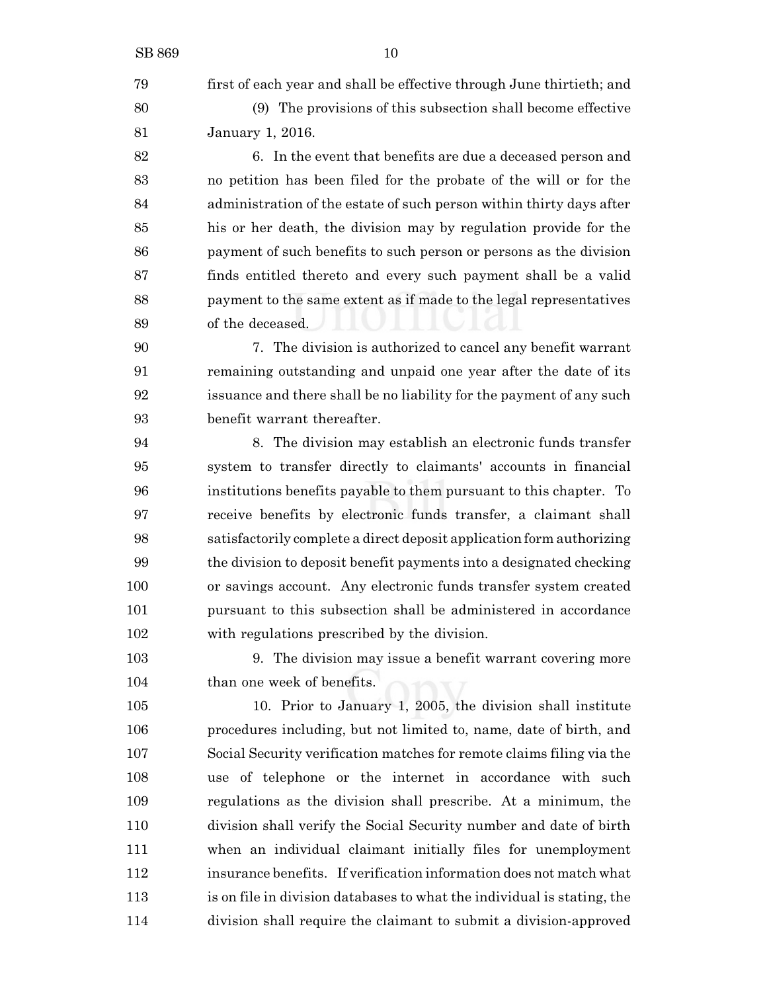SB 869 10 first of each year and shall be effective through June thirtieth; and (9) The provisions of this subsection shall become effective January 1, 2016. 6. In the event that benefits are due a deceased person and no petition has been filed for the probate of the will or for the administration of the estate of such person within thirty days after his or her death, the division may by regulation provide for the payment of such benefits to such person or persons as the division finds entitled thereto and every such payment shall be a valid payment to the same extent as if made to the legal representatives of the deceased. 7. The division is authorized to cancel any benefit warrant remaining outstanding and unpaid one year after the date of its issuance and there shall be no liability for the payment of any such benefit warrant thereafter. 8. The division may establish an electronic funds transfer system to transfer directly to claimants' accounts in financial institutions benefits payable to them pursuant to this chapter. To receive benefits by electronic funds transfer, a claimant shall

 satisfactorily complete a direct deposit application form authorizing the division to deposit benefit payments into a designated checking or savings account. Any electronic funds transfer system created pursuant to this subsection shall be administered in accordance with regulations prescribed by the division.

 9. The division may issue a benefit warrant covering more 104 than one week of benefits.

 10. Prior to January 1, 2005, the division shall institute procedures including, but not limited to, name, date of birth, and Social Security verification matches for remote claims filing via the use of telephone or the internet in accordance with such regulations as the division shall prescribe. At a minimum, the division shall verify the Social Security number and date of birth when an individual claimant initially files for unemployment insurance benefits. If verification information does not match what is on file in division databases to what the individual is stating, the division shall require the claimant to submit a division-approved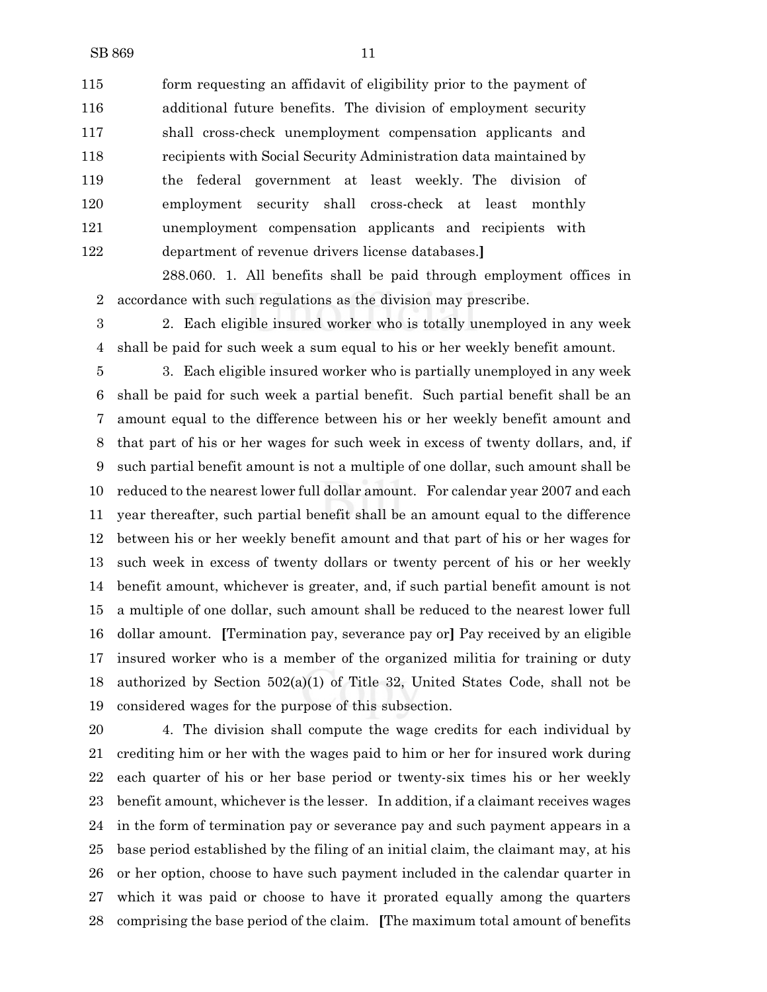form requesting an affidavit of eligibility prior to the payment of additional future benefits. The division of employment security shall cross-check unemployment compensation applicants and recipients with Social Security Administration data maintained by the federal government at least weekly. The division of employment security shall cross-check at least monthly unemployment compensation applicants and recipients with department of revenue drivers license databases.**]**

288.060. 1. All benefits shall be paid through employment offices in accordance with such regulations as the division may prescribe.

 2. Each eligible insured worker who is totally unemployed in any week shall be paid for such week a sum equal to his or her weekly benefit amount.

 3. Each eligible insured worker who is partially unemployed in any week shall be paid for such week a partial benefit. Such partial benefit shall be an amount equal to the difference between his or her weekly benefit amount and that part of his or her wages for such week in excess of twenty dollars, and, if such partial benefit amount is not a multiple of one dollar, such amount shall be reduced to the nearest lower full dollar amount. For calendar year 2007 and each year thereafter, such partial benefit shall be an amount equal to the difference between his or her weekly benefit amount and that part of his or her wages for such week in excess of twenty dollars or twenty percent of his or her weekly benefit amount, whichever is greater, and, if such partial benefit amount is not a multiple of one dollar, such amount shall be reduced to the nearest lower full dollar amount. **[**Termination pay, severance pay or**]** Pay received by an eligible insured worker who is a member of the organized militia for training or duty authorized by Section 502(a)(1) of Title 32, United States Code, shall not be considered wages for the purpose of this subsection.

 4. The division shall compute the wage credits for each individual by crediting him or her with the wages paid to him or her for insured work during each quarter of his or her base period or twenty-six times his or her weekly benefit amount, whichever is the lesser. In addition, if a claimant receives wages in the form of termination pay or severance pay and such payment appears in a base period established by the filing of an initial claim, the claimant may, at his or her option, choose to have such payment included in the calendar quarter in which it was paid or choose to have it prorated equally among the quarters comprising the base period of the claim. **[**The maximum total amount of benefits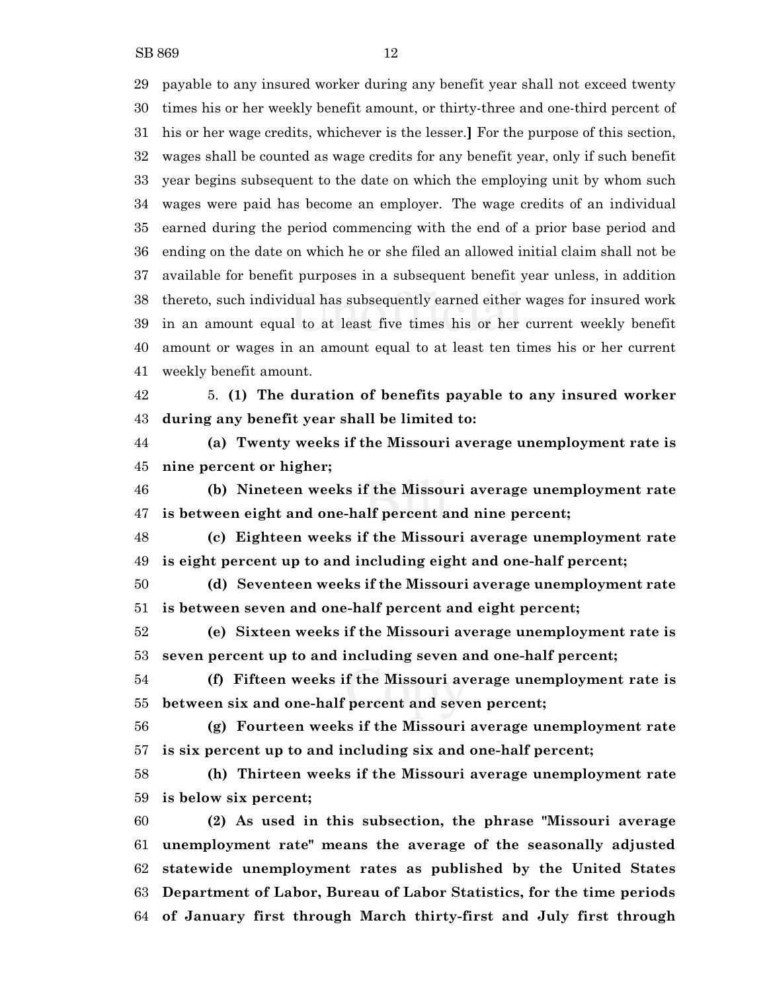payable to any insured worker during any benefit year shall not exceed twenty times his or her weekly benefit amount, or thirty-three and one-third percent of his or her wage credits, whichever is the lesser.**]** For the purpose of this section, wages shall be counted as wage credits for any benefit year, only if such benefit year begins subsequent to the date on which the employing unit by whom such wages were paid has become an employer. The wage credits of an individual earned during the period commencing with the end of a prior base period and ending on the date on which he or she filed an allowed initial claim shall not be available for benefit purposes in a subsequent benefit year unless, in addition thereto, such individual has subsequently earned either wages for insured work in an amount equal to at least five times his or her current weekly benefit amount or wages in an amount equal to at least ten times his or her current weekly benefit amount.

 5. **(1) The duration of benefits payable to any insured worker during any benefit year shall be limited to:**

 **(a) Twenty weeks if the Missouri average unemployment rate is nine percent or higher;**

 **(b) Nineteen weeks if the Missouri average unemployment rate is between eight and one-half percent and nine percent;**

 **(c) Eighteen weeks if the Missouri average unemployment rate is eight percent up to and including eight and one-half percent;**

 **(d) Seventeen weeks if the Missouri average unemployment rate is between seven and one-half percent and eight percent;**

 **(e) Sixteen weeks if the Missouri average unemployment rate is seven percent up to and including seven and one-half percent;**

 **(f) Fifteen weeks if the Missouri average unemployment rate is between six and one-half percent and seven percent;**

 **(g) Fourteen weeks if the Missouri average unemployment rate is six percent up to and including six and one-half percent;**

 **(h) Thirteen weeks if the Missouri average unemployment rate is below six percent;**

 **(2) As used in this subsection, the phrase "Missouri average unemployment rate" means the average of the seasonally adjusted statewide unemployment rates as published by the United States Department of Labor, Bureau of Labor Statistics, for the time periods of January first through March thirty-first and July first through**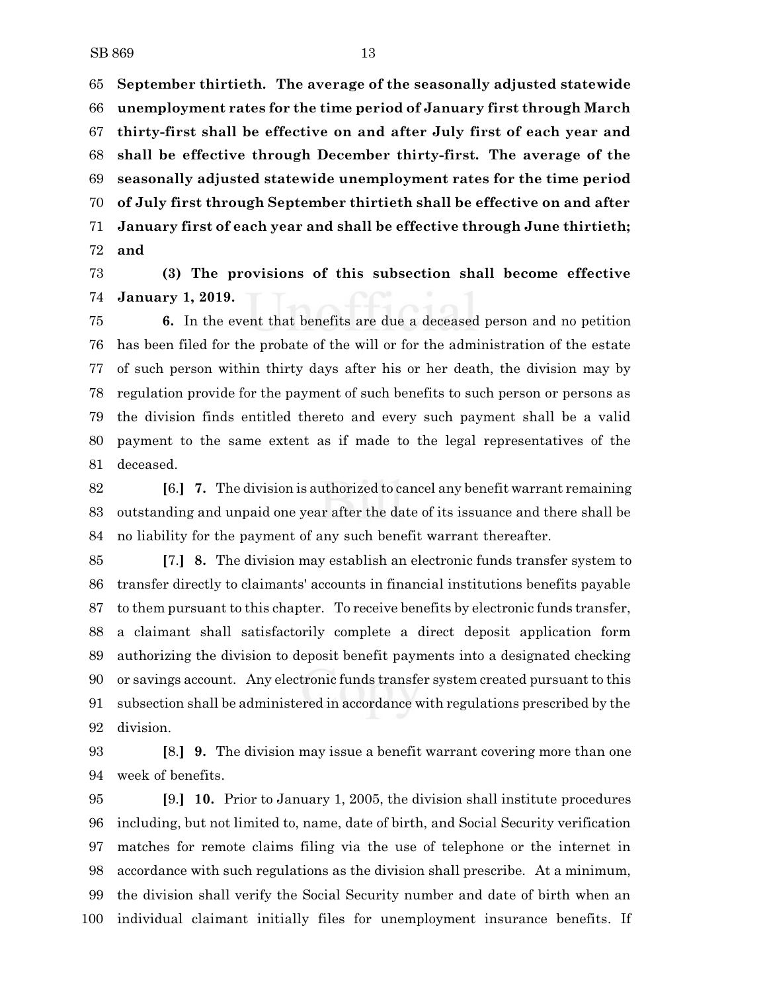**September thirtieth. The average of the seasonally adjusted statewide unemployment rates for the time period of January first through March thirty-first shall be effective on and after July first of each year and shall be effective through December thirty-first. The average of the seasonally adjusted statewide unemployment rates for the time period of July first through September thirtieth shall be effective on and after January first of each year and shall be effective through June thirtieth; and**

 **(3) The provisions of this subsection shall become effective January 1, 2019.**

 **6.** In the event that benefits are due a deceased person and no petition has been filed for the probate of the will or for the administration of the estate of such person within thirty days after his or her death, the division may by regulation provide for the payment of such benefits to such person or persons as the division finds entitled thereto and every such payment shall be a valid payment to the same extent as if made to the legal representatives of the deceased.

 **[**6.**] 7.** The division is authorized to cancel any benefit warrant remaining outstanding and unpaid one year after the date of its issuance and there shall be no liability for the payment of any such benefit warrant thereafter.

 **[**7.**] 8.** The division may establish an electronic funds transfer system to transfer directly to claimants' accounts in financial institutions benefits payable to them pursuant to this chapter. To receive benefits by electronic funds transfer, a claimant shall satisfactorily complete a direct deposit application form authorizing the division to deposit benefit payments into a designated checking or savings account. Any electronic funds transfer system created pursuant to this subsection shall be administered in accordance with regulations prescribed by the division.

 **[**8.**] 9.** The division may issue a benefit warrant covering more than one week of benefits.

 **[**9.**] 10.** Prior to January 1, 2005, the division shall institute procedures including, but not limited to, name, date of birth, and Social Security verification matches for remote claims filing via the use of telephone or the internet in accordance with such regulations as the division shall prescribe. At a minimum, the division shall verify the Social Security number and date of birth when an individual claimant initially files for unemployment insurance benefits. If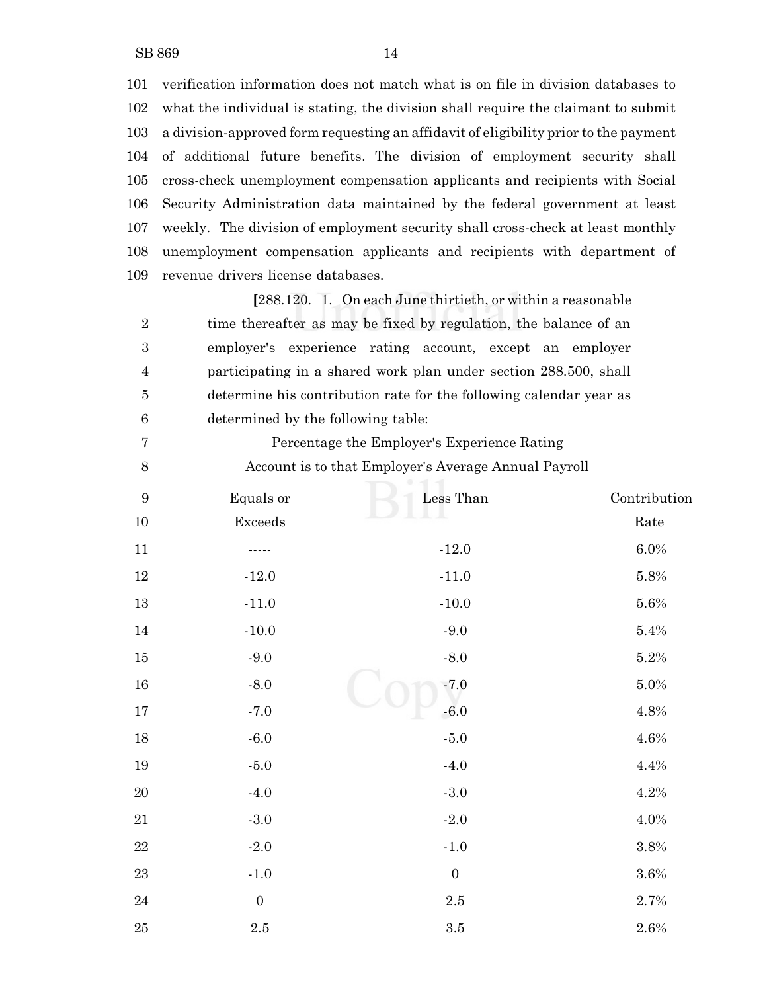verification information does not match what is on file in division databases to what the individual is stating, the division shall require the claimant to submit a division-approved form requesting an affidavit of eligibility prior to the payment of additional future benefits. The division of employment security shall cross-check unemployment compensation applicants and recipients with Social Security Administration data maintained by the federal government at least weekly. The division of employment security shall cross-check at least monthly unemployment compensation applicants and recipients with department of revenue drivers license databases.

**[**288.120. 1. On each June thirtieth, or within a reasonable 2 time thereafter as may be fixed by regulation, the balance of an employer's experience rating account, except an employer participating in a shared work plan under section 288.500, shall determine his contribution rate for the following calendar year as determined by the following table:

 Percentage the Employer's Experience Rating Account is to that Employer's Average Annual Payroll

| $\boldsymbol{9}$ | Equals or        | Less Than        | Contribution |
|------------------|------------------|------------------|--------------|
| $10\,$           | Exceeds          |                  | Rate         |
| $11\,$           |                  | $-12.0$          | $6.0\%$      |
| $12\,$           | $-12.0$          | $-11.0$          | 5.8%         |
| $13\,$           | $-11.0$          | $-10.0$          | 5.6%         |
| $14\,$           | $-10.0$          | $-9.0$           | 5.4%         |
| $15\,$           | $-9.0$           | $-8.0$           | 5.2%         |
| 16               | $-8.0$           | $-7.0$           | 5.0%         |
| $17\,$           | $-7.0$           | $-6.0$           | 4.8%         |
| $18\,$           | $-6.0$           | $\mbox{-}5.0$    | 4.6%         |
| 19               | $-5.0$           | $-4.0$           | 4.4%         |
| $20\,$           | $-4.0$           | $\mbox{-} 3.0$   | 4.2%         |
| 21               | $-3.0\,$         | $-2.0$           | 4.0%         |
| $22\,$           | $-2.0$           | $-1.0$           | $3.8\%$      |
| $\bf 23$         | $-1.0$           | $\boldsymbol{0}$ | $3.6\%$      |
| $\sqrt{24}$      | $\boldsymbol{0}$ | $2.5\,$          | 2.7%         |
| $25\,$           | $2.5\,$          | $\!.5$           | $2.6\%$      |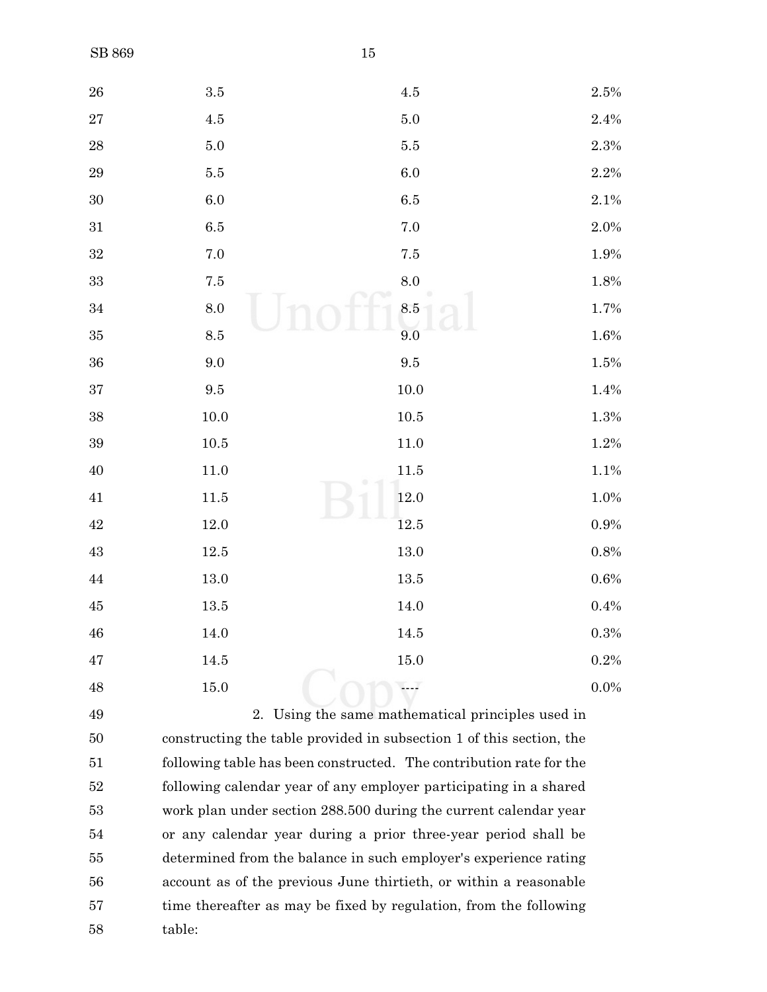| ${\bf 26}$  | $3.5\,$         | $4.5\,$                                                              | 2.5%    |
|-------------|-----------------|----------------------------------------------------------------------|---------|
| $\sqrt{27}$ | $4.5\,$         | $5.0\,$                                                              | $2.4\%$ |
| $\rm 28$    | $5.0\,$         | $5.5\,$                                                              | $2.3\%$ |
| $\rm 29$    | $5.5\,$         | $6.0\,$                                                              | $2.2\%$ |
| $30\,$      | $6.0\,$         | $6.5\,$                                                              | 2.1%    |
| $31\,$      | 6.5             | 7.0                                                                  | 2.0%    |
| $32\,$      | $7.0\,$         | $7.5\,$                                                              | 1.9%    |
| $33\,$      | $7.5\,$         | 8.0                                                                  | 1.8%    |
| $34\,$      | $\!\!\!\!\!8.0$ | 8.5                                                                  | 1.7%    |
| $35\,$      | $\!\!\!\!\!8.5$ | 9.0                                                                  | 1.6%    |
| $36\,$      | $9.0\,$         | $\ \, 9.5$                                                           | 1.5%    |
| $37\,$      | $\ \, 9.5$      | $10.0\,$                                                             | 1.4%    |
| $38\,$      | $10.0\,$        | $10.5\,$                                                             | 1.3%    |
| $39\,$      | $10.5\,$        | $11.0\,$                                                             | 1.2%    |
| $40\,$      | 11.0            | 11.5                                                                 | 1.1%    |
| $41\,$      | 11.5            | 12.0                                                                 | 1.0%    |
| $42\,$      | 12.0            | $12.5\,$                                                             | $0.9\%$ |
| 43          | 12.5            | 13.0                                                                 | $0.8\%$ |
| $\rm 44$    | 13.0            | $13.5\,$                                                             | 0.6%    |
| $\rm 45$    | 13.5            | 14.0                                                                 | $0.4\%$ |
| $\sqrt{46}$ | 14.0            | 14.5                                                                 | $0.3\%$ |
| 47          | 14.5            | 15.0                                                                 | 0.2%    |
| 48          | 15.0            |                                                                      | $0.0\%$ |
| 49          |                 | 2. Using the same mathematical principles used in                    |         |
| 50          |                 | constructing the table provided in subsection 1 of this section, the |         |

 constructing the table provided in subsection 1 of this section, the section following table has been constructed. The contribution rate for the following calendar year of any employer participating in a shared work plan under section 288.500 during the current calendar year or any calendar year during a prior three-year period shall be determined from the balance in such employer's experience rating account as of the previous June thirtieth, or within a reasonable time thereafter as may be fixed by regulation, from the following table: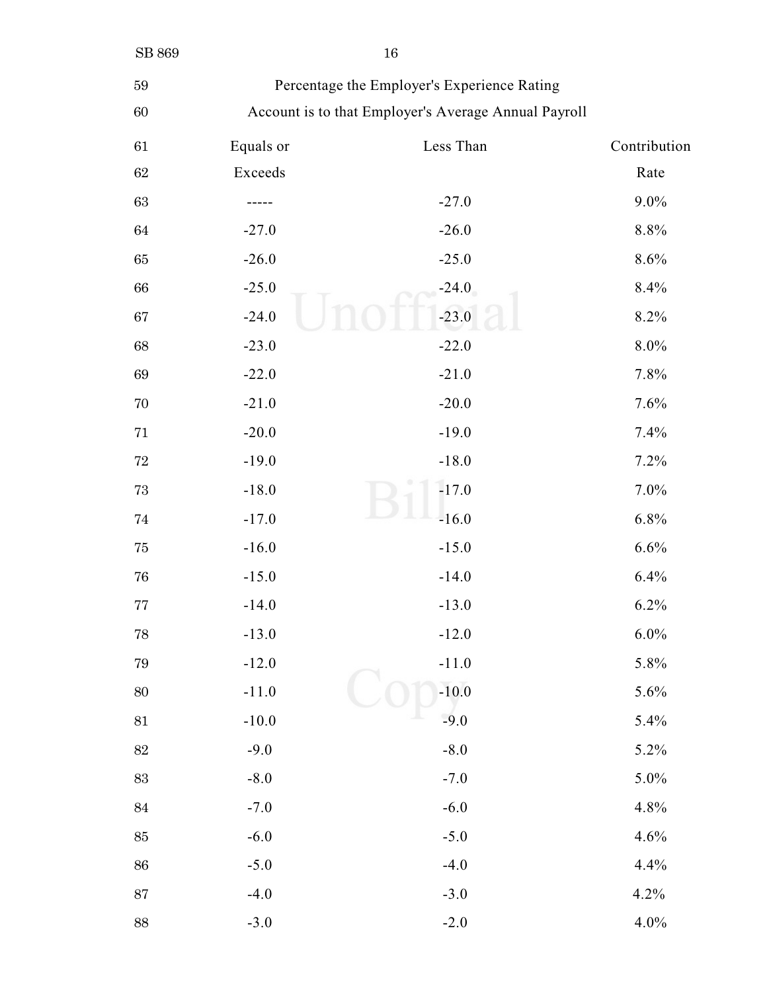| $16\,$ |
|--------|
|        |

| ×  | - 1<br>٠ |
|----|----------|
|    |          |
| n, |          |

## Percentage the Employer's Experience Rating

## Account is to that Employer's Average Annual Payroll

| $61\,$ | Equals or | Less Than | Contribution |
|--------|-----------|-----------|--------------|
| $62\,$ | Exceeds   |           | Rate         |
| 63     |           | $-27.0$   | $9.0\%$      |
| 64     | $-27.0$   | $-26.0$   | $8.8\%$      |
| 65     | $-26.0$   | $-25.0$   | 8.6%         |
| 66     | $-25.0$   | $-24.0$   | 8.4%         |
| 67     | $-24.0$   | $-23.0$   | 8.2%         |
| 68     | $-23.0$   | $-22.0$   | $8.0\%$      |
| 69     | $-22.0$   | $-21.0$   | 7.8%         |
| 70     | $-21.0$   | $-20.0$   | 7.6%         |
| $71\,$ | $-20.0$   | $-19.0$   | 7.4%         |
| $72\,$ | $-19.0$   | $-18.0$   | 7.2%         |
| $73\,$ | $-18.0$   | $-17.0$   | 7.0%         |
| 74     | $-17.0$   | $-16.0$   | 6.8%         |
| 75     | $-16.0$   | $-15.0$   | 6.6%         |
| 76     | $-15.0$   | $-14.0$   | 6.4%         |
| 77     | $-14.0$   | $-13.0$   | 6.2%         |
| $78\,$ | $-13.0$   | $-12.0$   | 6.0%         |
| 79     | $-12.0$   | $-11.0$   | 5.8%         |
| 80     | $-11.0$   | $-10.0$   | 5.6%         |
| $81\,$ | $-10.0$   | $-9.0$    | 5.4%         |
| $82\,$ | $-9.0$    | $-8.0$    | 5.2%         |
| 83     | $-8.0$    | $-7.0$    | $5.0\%$      |
| 84     | $-7.0$    | $-6.0$    | 4.8%         |
| 85     | $-6.0$    | $-5.0$    | 4.6%         |
| 86     | $-5.0$    | $-4.0$    | 4.4%         |
| 87     | $-4.0$    | $-3.0$    | 4.2%         |
| 88     | $-3.0$    | $-2.0$    | 4.0%         |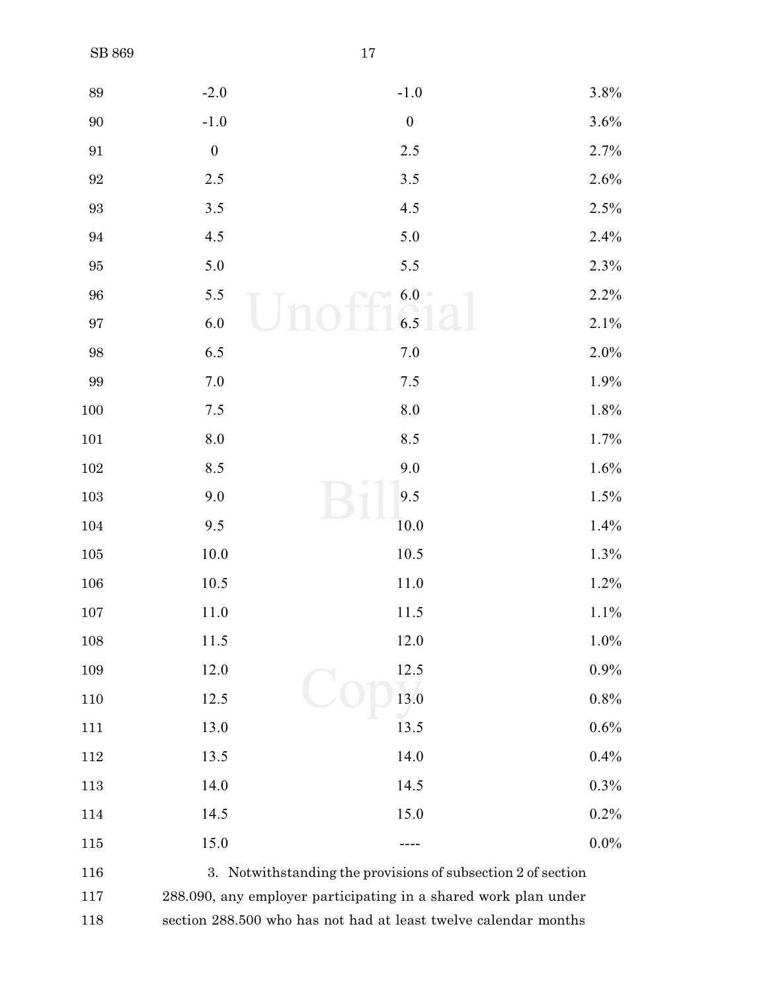| $89\,$            | $-2.0$             | $-1.0$                                                          | $3.8\%$ |
|-------------------|--------------------|-----------------------------------------------------------------|---------|
| $90\,$            | $-1.0$             | $\boldsymbol{0}$                                                | 3.6%    |
| $\boldsymbol{91}$ | $\boldsymbol{0}$   | 2.5                                                             | 2.7%    |
| $\boldsymbol{92}$ | $2.5$              | $3.5$                                                           | 2.6%    |
| $\boldsymbol{93}$ | 3.5                | 4.5                                                             | 2.5%    |
| 94                | 4.5                | 5.0                                                             | 2.4%    |
| $\rm 95$          | $5.0\,$            | 5.5                                                             | 2.3%    |
| $96\,$            | 5.5                | 6.0                                                             | 2.2%    |
| $\rm 97$          | $6.0\,$            | 6.5                                                             | 2.1%    |
| $98\,$            | 6.5                | $7.0\,$                                                         | 2.0%    |
| 99                | 7.0                | 7.5                                                             | 1.9%    |
| 100               | $7.5$              | $\boldsymbol{8.0}$                                              | 1.8%    |
| $101\,$           | $\boldsymbol{8.0}$ | 8.5                                                             | 1.7%    |
| $102\,$           | 8.5                | 9.0                                                             | 1.6%    |
| 103               | 9.0                | 9.5                                                             | 1.5%    |
| 104               | 9.5                | 10.0                                                            | 1.4%    |
| $105\,$           | 10.0               | 10.5                                                            | 1.3%    |
| $106\,$           | 10.5               | 11.0                                                            | 1.2%    |
| 107               | 11.0               | 11.5                                                            | $1.1\%$ |
| 108               | 11.5               | 12.0                                                            | $1.0\%$ |
| 109               | 12.0               | 12.5                                                            | 0.9%    |
| 110               | 12.5               | 13.0                                                            | 0.8%    |
| 111               | 13.0               | 13.5                                                            | 0.6%    |
| 112               | 13.5               | 14.0                                                            | 0.4%    |
| 113               | 14.0               | 14.5                                                            | 0.3%    |
| 114               | 14.5               | 15.0                                                            | 0.2%    |
| 115               | 15.0               |                                                                 | $0.0\%$ |
| 116               |                    | 3. Notwithstanding the provisions of subsection 2 of section    |         |
| 117               |                    | 288.090, any employer participating in a shared work plan under |         |

section 288.500 who has not had at least twelve calendar months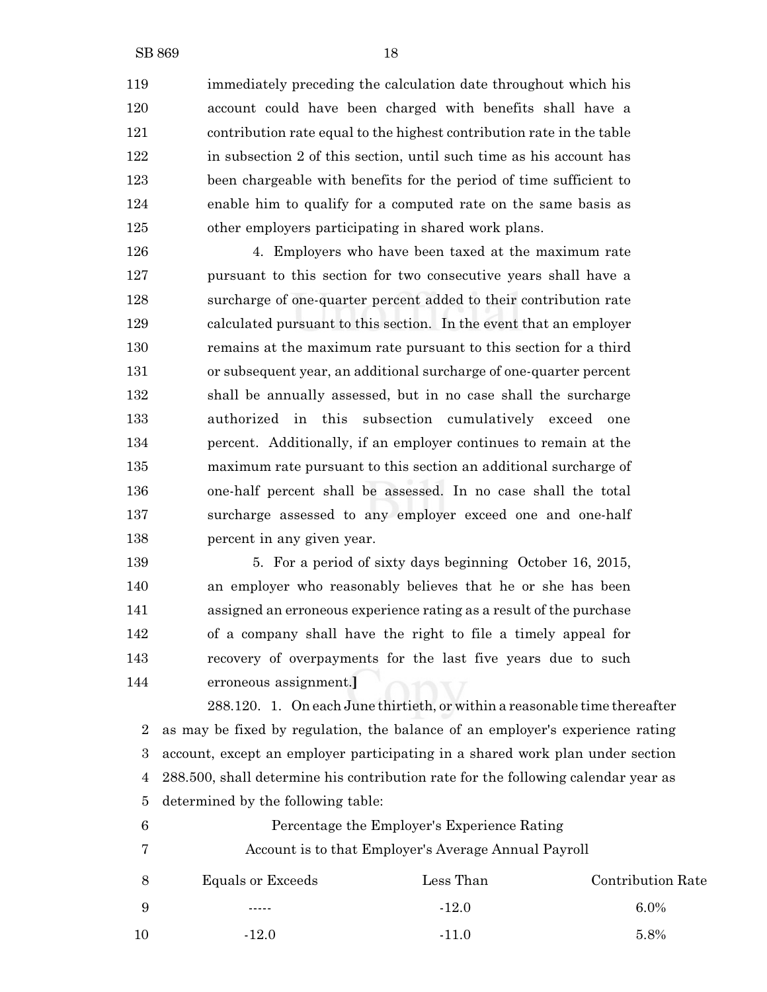immediately preceding the calculation date throughout which his account could have been charged with benefits shall have a contribution rate equal to the highest contribution rate in the table in subsection 2 of this section, until such time as his account has been chargeable with benefits for the period of time sufficient to enable him to qualify for a computed rate on the same basis as other employers participating in shared work plans.

 4. Employers who have been taxed at the maximum rate pursuant to this section for two consecutive years shall have a surcharge of one-quarter percent added to their contribution rate calculated pursuant to this section. In the event that an employer remains at the maximum rate pursuant to this section for a third or subsequent year, an additional surcharge of one-quarter percent shall be annually assessed, but in no case shall the surcharge authorized in this subsection cumulatively exceed one percent. Additionally, if an employer continues to remain at the maximum rate pursuant to this section an additional surcharge of one-half percent shall be assessed. In no case shall the total surcharge assessed to any employer exceed one and one-half percent in any given year.

139 5. For a period of sixty days beginning October 16, 2015, an employer who reasonably believes that he or she has been assigned an erroneous experience rating as a result of the purchase of a company shall have the right to file a timely appeal for recovery of overpayments for the last five years due to such erroneous assignment.**]**

288.120. 1. On each June thirtieth, or within a reasonable time thereafter as may be fixed by regulation, the balance of an employer's experience rating account, except an employer participating in a shared work plan under section 288.500, shall determine his contribution rate for the following calendar year as determined by the following table:

 Percentage the Employer's Experience Rating Account is to that Employer's Average Annual Payroll Equals or Exceeds Less Than Contribution Rate  $\ldots$   $-12.0$  6.0%  $-12.0$   $-11.0$   $5.8\%$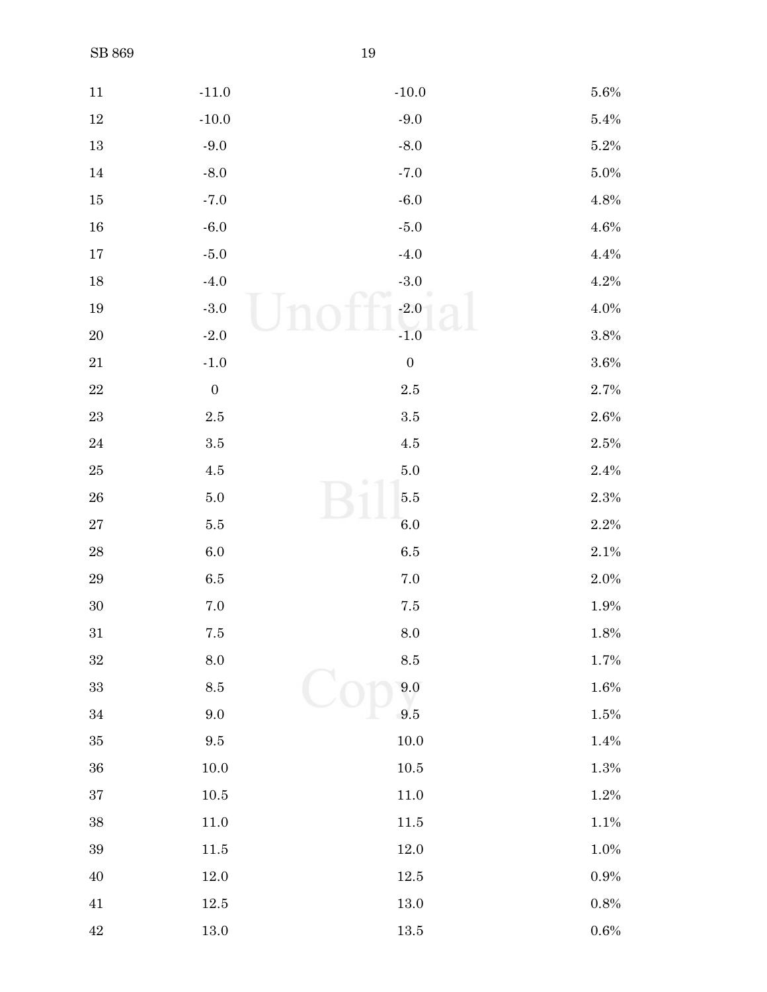| $11\,$      | $-11.0$          | $\mbox{-}10.0$   | $5.6\%$ |
|-------------|------------------|------------------|---------|
| $12\,$      | $-10.0$          | $-9.0$           | $5.4\%$ |
| $13\,$      | $-9.0$           | $-8.0$           | $5.2\%$ |
| 14          | $-8.0$           | $-7.0$           | 5.0%    |
| $15\,$      | $-7.0$           | $-6.0$           | 4.8%    |
| 16          | $-6.0$           | $\mbox{-}5.0$    | $4.6\%$ |
| $17\,$      | $-5.0$           | $-4.0$           | $4.4\%$ |
| $18\,$      | $-4.0$           | $\mbox{-}3.0$    | $4.2\%$ |
| $19\,$      | $\mbox{-}3.0$    | $-2.0$           | $4.0\%$ |
| $20\,$      | $\mbox{-}2.0$    | $-1.0$           | $3.8\%$ |
| $21\,$      | $\text{-}1.0$    | $\boldsymbol{0}$ | 3.6%    |
| $22\,$      | $\boldsymbol{0}$ | $2.5\,$          | 2.7%    |
| $23\,$      | $2.5\,$          | $\!.5$           | 2.6%    |
| $\sqrt{24}$ | $3.5\,$          | $4.5\,$          | 2.5%    |
| $25\,$      | $4.5\,$          | $5.0\,$          | $2.4\%$ |
| ${\bf 26}$  | $5.0\,$          | $5.5\,$          | $2.3\%$ |
| $\sqrt{27}$ | $5.5\,$          | $6.0\,$          | $2.2\%$ |
| ${\bf 28}$  | $6.0\,$          | $6.5\,$          | 2.1%    |
| $\rm 29$    | $6.5\,$          | $7.0\,$          | $2.0\%$ |
| $30\,$      | $7.0\,$          | $7.5\,$          | 1.9%    |
| $31\,$      | $7.5\,$          | $\!\!\!\!\!8.0$  | $1.8\%$ |
| $32\,$      | $\!\!\!\!\!8.0$  | $\!\!\!\!\!8.5$  | $1.7\%$ |
| $33\,$      | $\!\!\!\!\!8.5$  | $\,9.0$          | 1.6%    |
| $34\,$      | $9.0\,$          | 9.5              | 1.5%    |
| $35\,$      | $\ \, 9.5$       | $10.0\,$         | $1.4\%$ |
| $36\,$      | $10.0\,$         | $10.5\,$         | $1.3\%$ |
| $37\,$      | $10.5\,$         | $11.0\,$         | $1.2\%$ |
| 38          | $11.0\,$         | $11.5\,$         | $1.1\%$ |
| $39\,$      | $11.5\,$         | 12.0             | 1.0%    |
| $40\,$      | $12.0\,$         | $12.5\,$         | $0.9\%$ |
| $41\,$      | $12.5\,$         | 13.0             | $0.8\%$ |
| $42\,$      | $13.0\,$         | $13.5\,$         | $0.6\%$ |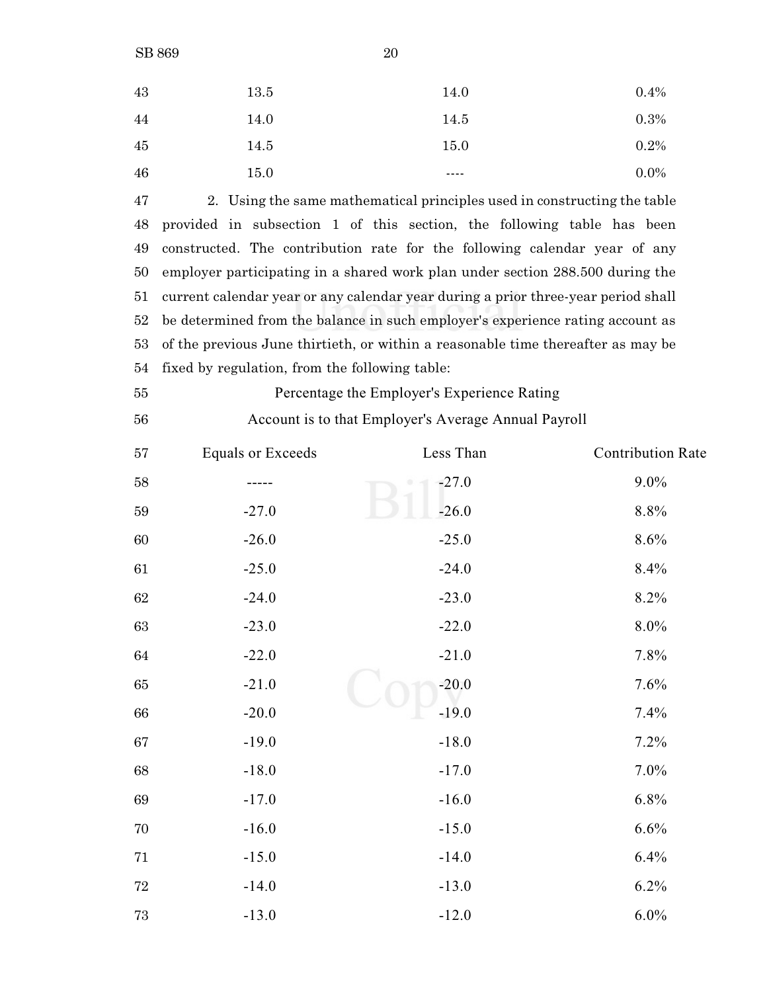| 20 |
|----|
|    |

| 43 | 13.5 | 14.0 | 0.4%    |
|----|------|------|---------|
| 44 | 14.0 | 14.5 | 0.3%    |
| 45 | 14.5 | 15.0 | 0.2%    |
| 46 | 15.0 | ---- | $0.0\%$ |
|    |      |      |         |

 2. Using the same mathematical principles used in constructing the table provided in subsection 1 of this section, the following table has been constructed. The contribution rate for the following calendar year of any employer participating in a shared work plan under section 288.500 during the current calendar year or any calendar year during a prior three-year period shall be determined from the balance in such employer's experience rating account as of the previous June thirtieth, or within a reasonable time thereafter as may be fixed by regulation, from the following table:

| 55 | Percentage the Employer's Experience Rating |
|----|---------------------------------------------|
|    |                                             |

Account is to that Employer's Average Annual Payroll

| $57\,$ | <b>Equals or Exceeds</b> | Less Than | <b>Contribution Rate</b> |
|--------|--------------------------|-----------|--------------------------|
| $58\,$ |                          | $-27.0$   | $9.0\%$                  |
| $59\,$ | $-27.0$                  | $-26.0$   | $8.8\%$                  |
| $60\,$ | $-26.0$                  | $-25.0$   | $8.6\%$                  |
| 61     | $-25.0$                  | $-24.0$   | 8.4%                     |
| $62\,$ | $-24.0$                  | $-23.0$   | 8.2%                     |
| 63     | $-23.0$                  | $-22.0$   | $8.0\%$                  |
| $64\,$ | $-22.0$                  | $-21.0$   | 7.8%                     |
| $65\,$ | $-21.0$                  | $-20.0$   | 7.6%                     |
| $66\,$ | $-20.0$                  | $-19.0$   | 7.4%                     |
| $67\,$ | $-19.0$                  | $-18.0$   | 7.2%                     |
| $68\,$ | $-18.0$                  | $-17.0$   | 7.0%                     |
| 69     | $-17.0$                  | $-16.0$   | 6.8%                     |
| $70\,$ | $-16.0$                  | $-15.0$   | 6.6%                     |
| $71\,$ | $-15.0$                  | $-14.0$   | 6.4%                     |
| $72\,$ | $-14.0$                  | $-13.0$   | 6.2%                     |
| 73     | $-13.0$                  | $-12.0$   | 6.0%                     |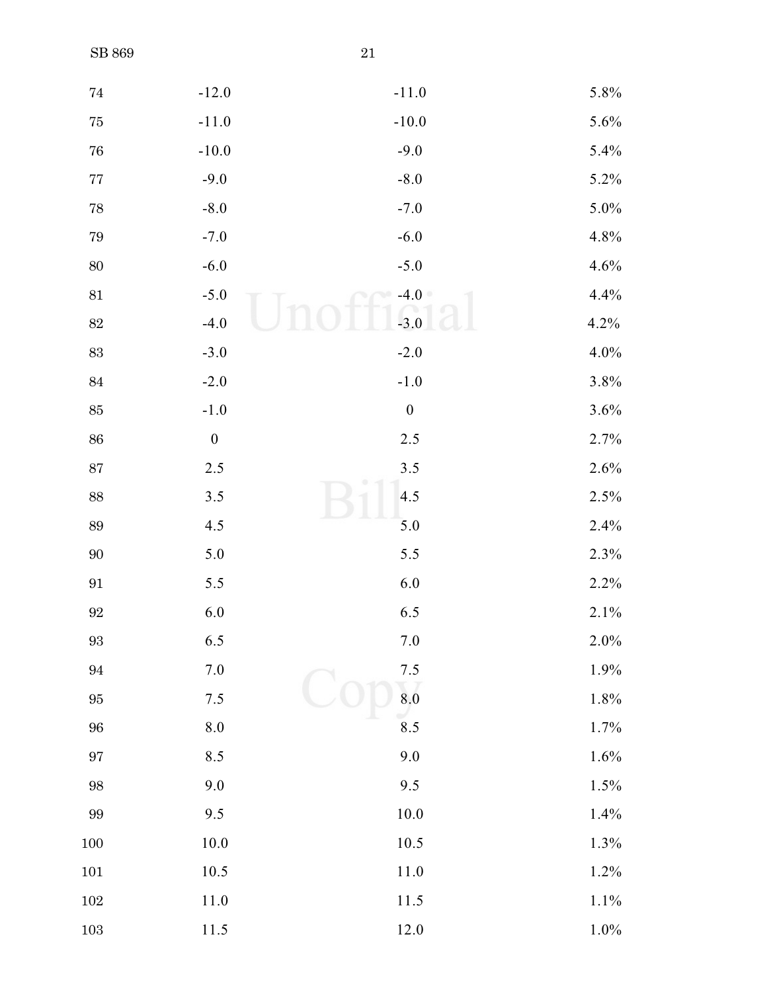| $74\,$            | $-12.0$            | $-11.0$                   | 5.8%    |
|-------------------|--------------------|---------------------------|---------|
| $75\,$            | $-11.0$            | $-10.0$                   | 5.6%    |
| ${\bf 76}$        | $-10.0$            | $-9.0$                    | 5.4%    |
| $77\,$            | $-9.0$             | $-8.0$                    | 5.2%    |
| $78\,$            | $-8.0$             | $-7.0$                    | 5.0%    |
| $\rm 79$          | $-7.0$             | $-6.0$                    | 4.8%    |
| $80\,$            | $-6.0$             | $-5.0$                    | 4.6%    |
| $81\,$            | $-5.0$             | $-4.0$                    | 4.4%    |
| $82\,$            | $-4.0$             | $-3.0$                    | 4.2%    |
| $83\,$            | $-3.0$             | $-2.0$                    | 4.0%    |
| $84\,$            | $-2.0$             | $\mbox{-} 1.0$            | 3.8%    |
| $85\,$            | $-1.0$             | $\boldsymbol{0}$          | 3.6%    |
| $86\,$            | $\boldsymbol{0}$   | $2.5\,$                   | 2.7%    |
| $87\,$            | 2.5                | $3.5$                     | 2.6%    |
| $88\,$            | $3.5$              | 4.5                       | 2.5%    |
| $89\,$            | 4.5                | 5.0                       | 2.4%    |
| $90\,$            | 5.0                | 5.5                       | 2.3%    |
| $\boldsymbol{91}$ | 5.5                | 6.0                       | 2.2%    |
| $92\,$            | 6.0                | 6.5                       | 2.1%    |
| $93\,$            | 6.5                | 7.0                       | 2.0%    |
| $\rm 94$          | $7.0\,$            | $7.5\,$                   | 1.9%    |
| $\rm 95$          | $7.5$              | $\overline{\textbf{8.0}}$ | 1.8%    |
| $96\,$            | $\boldsymbol{8.0}$ | 8.5                       | 1.7%    |
| $\rm 97$          | 8.5                | 9.0                       | 1.6%    |
| $98\,$            | $9.0\,$            | 9.5                       | 1.5%    |
| $99\,$            | 9.5                | $10.0\,$                  | 1.4%    |
| $100\,$           | $10.0\,$           | $10.5$                    | 1.3%    |
| $101\,$           | $10.5\,$           | $11.0\,$                  | 1.2%    |
| $102\,$           | 11.0               | 11.5                      | 1.1%    |
| $103\,$           | $11.5\,$           | $12.0\,$                  | $1.0\%$ |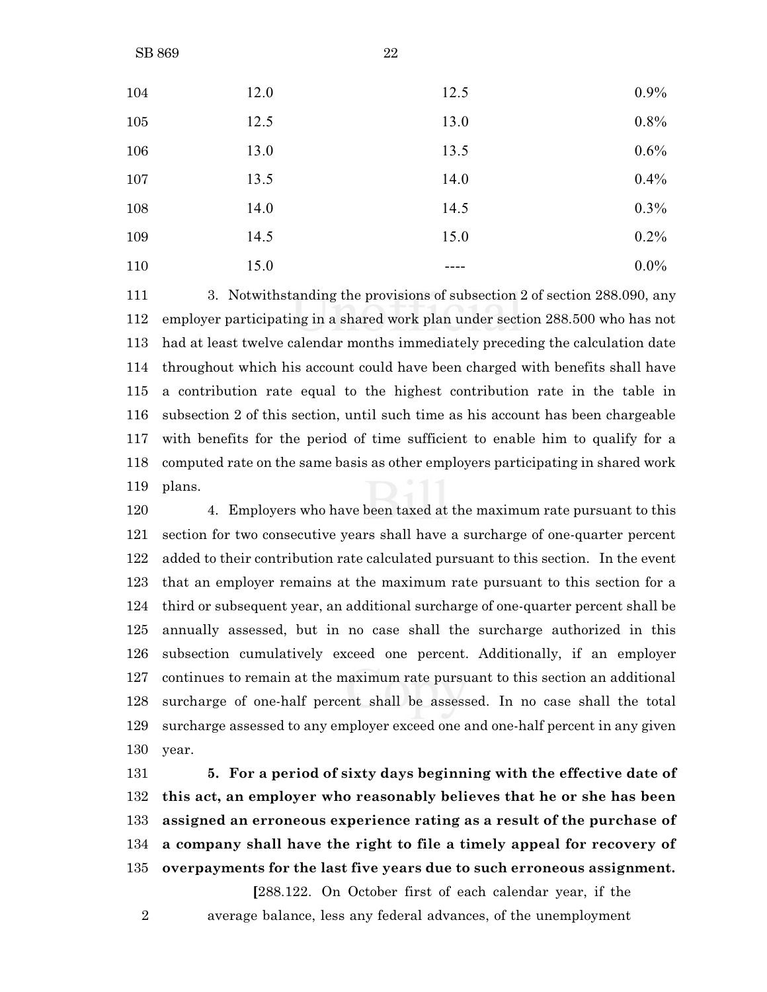| 104 | 12.0 | 12.5 | 0.9%    |
|-----|------|------|---------|
| 105 | 12.5 | 13.0 | 0.8%    |
| 106 | 13.0 | 13.5 | 0.6%    |
| 107 | 13.5 | 14.0 | 0.4%    |
| 108 | 14.0 | 14.5 | 0.3%    |
| 109 | 14.5 | 15.0 | 0.2%    |
| 110 | 15.0 |      | $0.0\%$ |

 3. Notwithstanding the provisions of subsection 2 of section 288.090, any employer participating in a shared work plan under section 288.500 who has not had at least twelve calendar months immediately preceding the calculation date throughout which his account could have been charged with benefits shall have a contribution rate equal to the highest contribution rate in the table in subsection 2 of this section, until such time as his account has been chargeable with benefits for the period of time sufficient to enable him to qualify for a computed rate on the same basis as other employers participating in shared work plans.

 4. Employers who have been taxed at the maximum rate pursuant to this section for two consecutive years shall have a surcharge of one-quarter percent added to their contribution rate calculated pursuant to this section. In the event that an employer remains at the maximum rate pursuant to this section for a third or subsequent year, an additional surcharge of one-quarter percent shall be annually assessed, but in no case shall the surcharge authorized in this subsection cumulatively exceed one percent. Additionally, if an employer continues to remain at the maximum rate pursuant to this section an additional surcharge of one-half percent shall be assessed. In no case shall the total surcharge assessed to any employer exceed one and one-half percent in any given year.

 **5. For a period of sixty days beginning with the effective date of this act, an employer who reasonably believes that he or she has been assigned an erroneous experience rating as a result of the purchase of a company shall have the right to file a timely appeal for recovery of overpayments for the last five years due to such erroneous assignment.**

**[**288.122. On October first of each calendar year, if the average balance, less any federal advances, of the unemployment

SB 869 22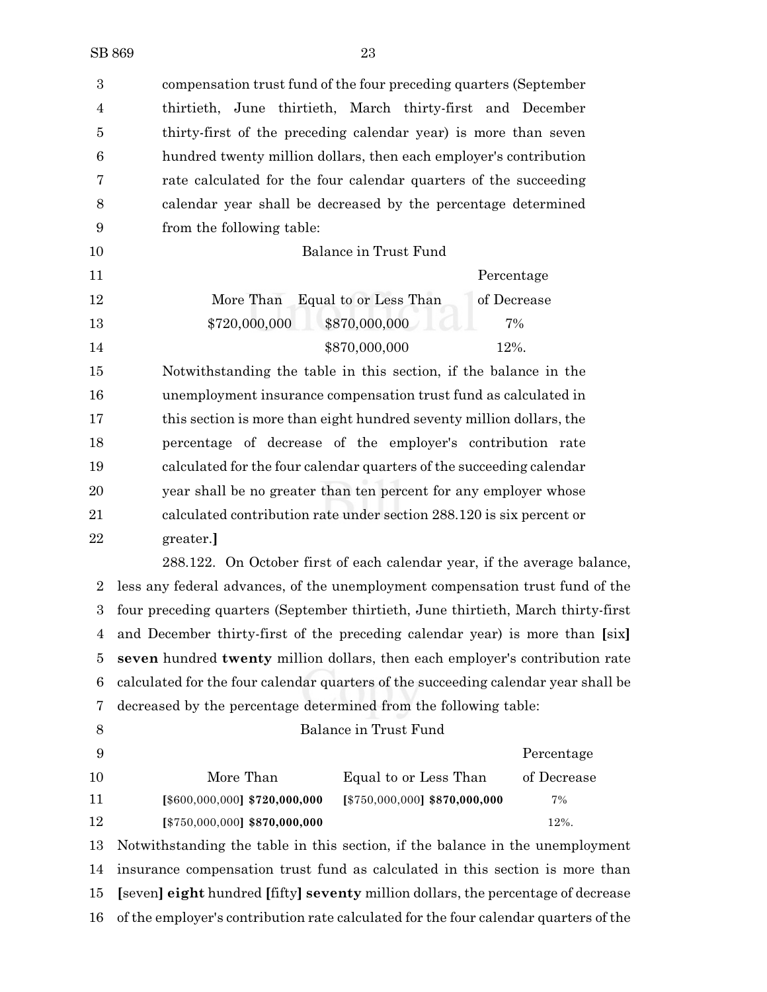| $\boldsymbol{3}$ | compensation trust fund of the four preceding quarters (September              |  |  |  |
|------------------|--------------------------------------------------------------------------------|--|--|--|
| 4                | thirtieth, June thirtieth, March thirty-first and December                     |  |  |  |
| 5                | thirty-first of the preceding calendar year) is more than seven                |  |  |  |
| 6                | hundred twenty million dollars, then each employer's contribution              |  |  |  |
| 7                | rate calculated for the four calendar quarters of the succeeding               |  |  |  |
| 8                | calendar year shall be decreased by the percentage determined                  |  |  |  |
| 9                | from the following table:                                                      |  |  |  |
| 10               | Balance in Trust Fund                                                          |  |  |  |
| 11               | Percentage                                                                     |  |  |  |
| 12               | More Than<br>Equal to or Less Than<br>of Decrease                              |  |  |  |
| 13               | \$720,000,000<br>\$870,000,000<br>7%                                           |  |  |  |
| 14               | \$870,000,000<br>12%.                                                          |  |  |  |
| 15               | Notwithstanding the table in this section, if the balance in the               |  |  |  |
| 16               | unemployment insurance compensation trust fund as calculated in                |  |  |  |
| 17               | this section is more than eight hundred seventy million dollars, the           |  |  |  |
| 18               | percentage of decrease of the employer's contribution rate                     |  |  |  |
| 19               | calculated for the four calendar quarters of the succeeding calendar           |  |  |  |
| 20               | year shall be no greater than ten percent for any employer whose               |  |  |  |
| 21               | calculated contribution rate under section 288.120 is six percent or           |  |  |  |
| 22               | greater.                                                                       |  |  |  |
|                  | 288.122. On October first of each calendar year, if the average balance,       |  |  |  |
| $\overline{2}$   | less any federal advances, of the unemployment compensation trust fund of the  |  |  |  |
|                  | four preceding quarters (Contembor thirtigth June thirtigth March thirty first |  |  |  |

 four preceding quarters (September thirtieth, June thirtieth, March thirty-first and December thirty-first of the preceding calendar year) is more than **[**six**] seven** hundred **twenty** million dollars, then each employer's contribution rate calculated for the four calendar quarters of the succeeding calendar year shall be decreased by the percentage determined from the following table:

 Percentage More Than Equal to or Less Than of Decrease **[**\$600,000,000**] \$720,000,000 [**\$750,000,000**] \$870,000,000** 7% **[**\$750,000,000**] \$870,000,000** 12%.

Balance in Trust Fund

 Notwithstanding the table in this section, if the balance in the unemployment insurance compensation trust fund as calculated in this section is more than **[**seven**] eight** hundred **[**fifty**] seventy** million dollars, the percentage of decrease of the employer's contribution rate calculated for the four calendar quarters of the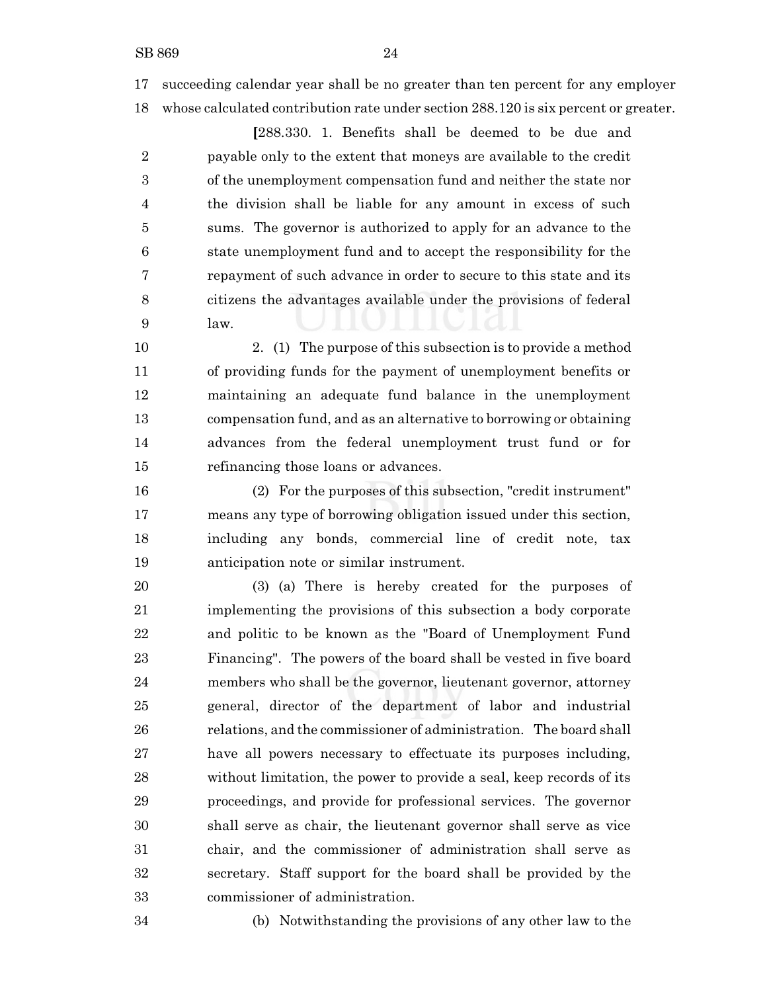succeeding calendar year shall be no greater than ten percent for any employer whose calculated contribution rate under section 288.120 is six percent or greater.

**[**288.330. 1. Benefits shall be deemed to be due and payable only to the extent that moneys are available to the credit of the unemployment compensation fund and neither the state nor the division shall be liable for any amount in excess of such sums. The governor is authorized to apply for an advance to the state unemployment fund and to accept the responsibility for the repayment of such advance in order to secure to this state and its citizens the advantages available under the provisions of federal law.

 2. (1) The purpose of this subsection is to provide a method of providing funds for the payment of unemployment benefits or maintaining an adequate fund balance in the unemployment compensation fund, and as an alternative to borrowing or obtaining advances from the federal unemployment trust fund or for refinancing those loans or advances.

 (2) For the purposes of this subsection, "credit instrument" means any type of borrowing obligation issued under this section, including any bonds, commercial line of credit note, tax anticipation note or similar instrument.

 (3) (a) There is hereby created for the purposes of implementing the provisions of this subsection a body corporate and politic to be known as the "Board of Unemployment Fund Financing". The powers of the board shall be vested in five board members who shall be the governor, lieutenant governor, attorney general, director of the department of labor and industrial relations, and the commissioner of administration. The board shall have all powers necessary to effectuate its purposes including, without limitation, the power to provide a seal, keep records of its proceedings, and provide for professional services. The governor shall serve as chair, the lieutenant governor shall serve as vice chair, and the commissioner of administration shall serve as secretary. Staff support for the board shall be provided by the commissioner of administration.

(b) Notwithstanding the provisions of any other law to the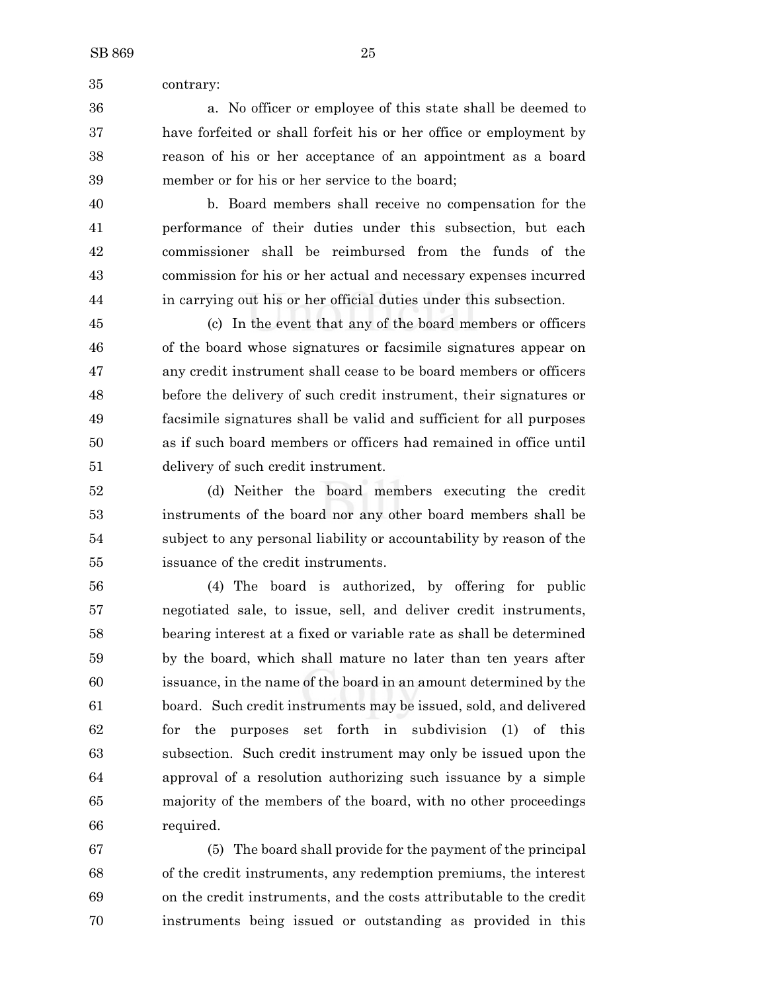contrary:

 a. No officer or employee of this state shall be deemed to have forfeited or shall forfeit his or her office or employment by reason of his or her acceptance of an appointment as a board member or for his or her service to the board;

 b. Board members shall receive no compensation for the performance of their duties under this subsection, but each commissioner shall be reimbursed from the funds of the commission for his or her actual and necessary expenses incurred in carrying out his or her official duties under this subsection.

 (c) In the event that any of the board members or officers of the board whose signatures or facsimile signatures appear on any credit instrument shall cease to be board members or officers before the delivery of such credit instrument, their signatures or facsimile signatures shall be valid and sufficient for all purposes as if such board members or officers had remained in office until delivery of such credit instrument.

 (d) Neither the board members executing the credit instruments of the board nor any other board members shall be subject to any personal liability or accountability by reason of the issuance of the credit instruments.

 (4) The board is authorized, by offering for public negotiated sale, to issue, sell, and deliver credit instruments, bearing interest at a fixed or variable rate as shall be determined by the board, which shall mature no later than ten years after issuance, in the name of the board in an amount determined by the board. Such credit instruments may be issued, sold, and delivered for the purposes set forth in subdivision (1) of this subsection. Such credit instrument may only be issued upon the approval of a resolution authorizing such issuance by a simple majority of the members of the board, with no other proceedings required.

 (5) The board shall provide for the payment of the principal of the credit instruments, any redemption premiums, the interest on the credit instruments, and the costs attributable to the credit instruments being issued or outstanding as provided in this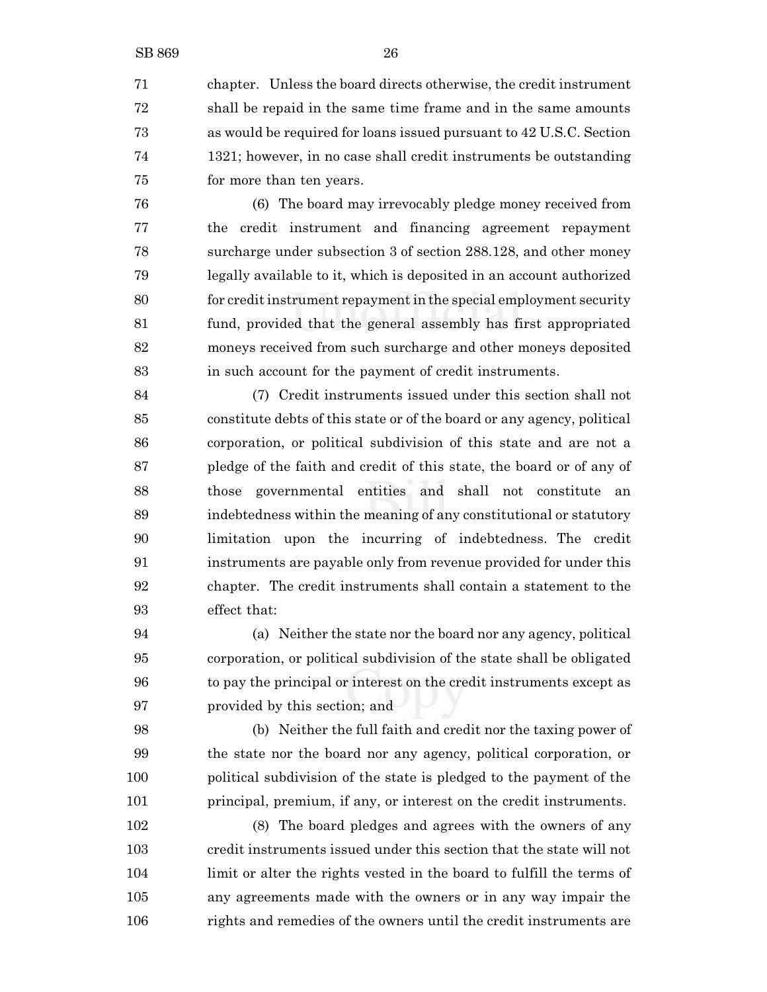chapter. Unless the board directs otherwise, the credit instrument shall be repaid in the same time frame and in the same amounts as would be required for loans issued pursuant to 42 U.S.C. Section 1321; however, in no case shall credit instruments be outstanding for more than ten years.

 (6) The board may irrevocably pledge money received from the credit instrument and financing agreement repayment surcharge under subsection 3 of section 288.128, and other money legally available to it, which is deposited in an account authorized for credit instrument repayment in the special employment security fund, provided that the general assembly has first appropriated moneys received from such surcharge and other moneys deposited in such account for the payment of credit instruments.

 (7) Credit instruments issued under this section shall not constitute debts of this state or of the board or any agency, political corporation, or political subdivision of this state and are not a pledge of the faith and credit of this state, the board or of any of those governmental entities and shall not constitute an indebtedness within the meaning of any constitutional or statutory limitation upon the incurring of indebtedness. The credit instruments are payable only from revenue provided for under this chapter. The credit instruments shall contain a statement to the effect that:

 (a) Neither the state nor the board nor any agency, political corporation, or political subdivision of the state shall be obligated to pay the principal or interest on the credit instruments except as provided by this section; and

 (b) Neither the full faith and credit nor the taxing power of the state nor the board nor any agency, political corporation, or political subdivision of the state is pledged to the payment of the principal, premium, if any, or interest on the credit instruments.

 (8) The board pledges and agrees with the owners of any credit instruments issued under this section that the state will not limit or alter the rights vested in the board to fulfill the terms of any agreements made with the owners or in any way impair the rights and remedies of the owners until the credit instruments are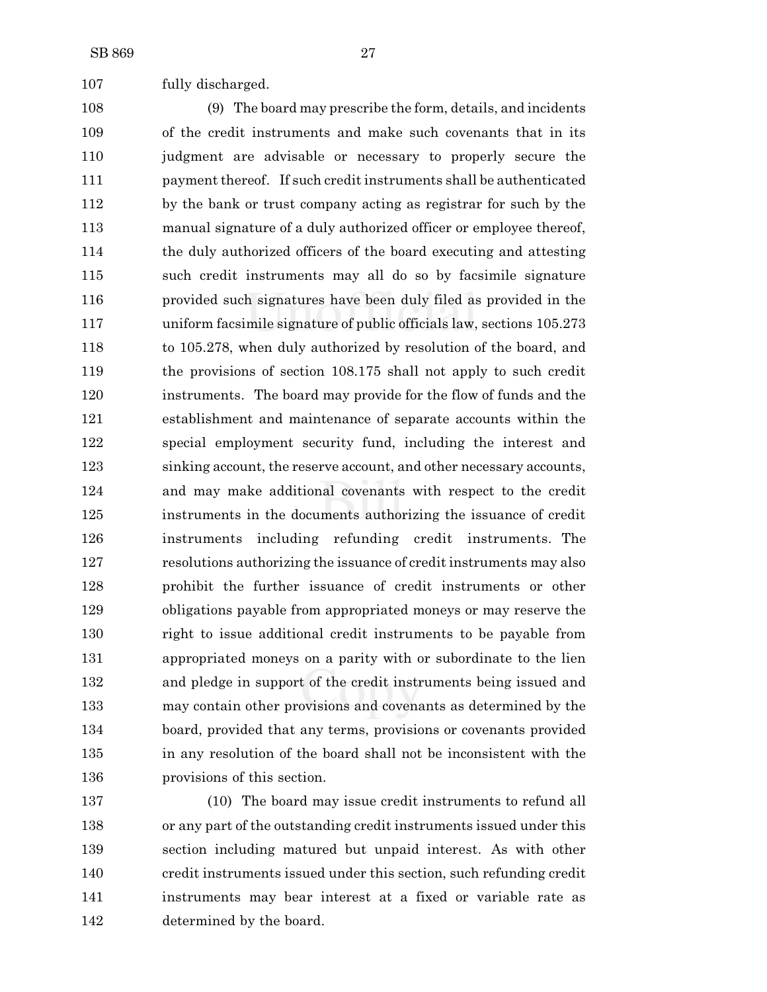fully discharged.

 (9) The board may prescribe the form, details, and incidents of the credit instruments and make such covenants that in its judgment are advisable or necessary to properly secure the payment thereof. If such credit instruments shall be authenticated by the bank or trust company acting as registrar for such by the manual signature of a duly authorized officer or employee thereof, the duly authorized officers of the board executing and attesting such credit instruments may all do so by facsimile signature provided such signatures have been duly filed as provided in the uniform facsimile signature of public officials law, sections 105.273 to 105.278, when duly authorized by resolution of the board, and the provisions of section 108.175 shall not apply to such credit instruments. The board may provide for the flow of funds and the establishment and maintenance of separate accounts within the special employment security fund, including the interest and sinking account, the reserve account, and other necessary accounts, and may make additional covenants with respect to the credit instruments in the documents authorizing the issuance of credit instruments including refunding credit instruments. The resolutions authorizing the issuance of credit instruments may also prohibit the further issuance of credit instruments or other obligations payable from appropriated moneys or may reserve the right to issue additional credit instruments to be payable from appropriated moneys on a parity with or subordinate to the lien and pledge in support of the credit instruments being issued and may contain other provisions and covenants as determined by the board, provided that any terms, provisions or covenants provided in any resolution of the board shall not be inconsistent with the provisions of this section.

 (10) The board may issue credit instruments to refund all or any part of the outstanding credit instruments issued under this section including matured but unpaid interest. As with other credit instruments issued under this section, such refunding credit instruments may bear interest at a fixed or variable rate as determined by the board.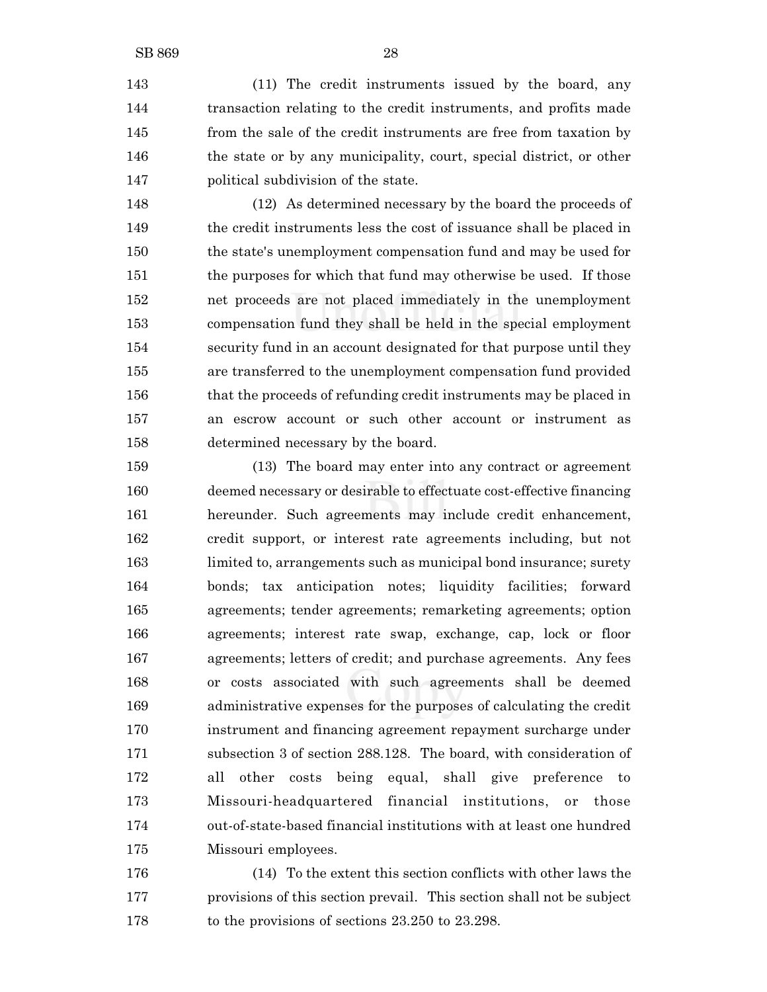(11) The credit instruments issued by the board, any transaction relating to the credit instruments, and profits made from the sale of the credit instruments are free from taxation by the state or by any municipality, court, special district, or other political subdivision of the state.

 (12) As determined necessary by the board the proceeds of the credit instruments less the cost of issuance shall be placed in the state's unemployment compensation fund and may be used for 151 the purposes for which that fund may otherwise be used. If those net proceeds are not placed immediately in the unemployment compensation fund they shall be held in the special employment security fund in an account designated for that purpose until they are transferred to the unemployment compensation fund provided that the proceeds of refunding credit instruments may be placed in an escrow account or such other account or instrument as determined necessary by the board.

 (13) The board may enter into any contract or agreement deemed necessary or desirable to effectuate cost-effective financing hereunder. Such agreements may include credit enhancement, credit support, or interest rate agreements including, but not limited to, arrangements such as municipal bond insurance; surety bonds; tax anticipation notes; liquidity facilities; forward agreements; tender agreements; remarketing agreements; option agreements; interest rate swap, exchange, cap, lock or floor agreements; letters of credit; and purchase agreements. Any fees or costs associated with such agreements shall be deemed administrative expenses for the purposes of calculating the credit instrument and financing agreement repayment surcharge under subsection 3 of section 288.128. The board, with consideration of all other costs being equal, shall give preference to Missouri-headquartered financial institutions, or those out-of-state-based financial institutions with at least one hundred Missouri employees.

 (14) To the extent this section conflicts with other laws the provisions of this section prevail. This section shall not be subject 178 to the provisions of sections 23.250 to 23.298.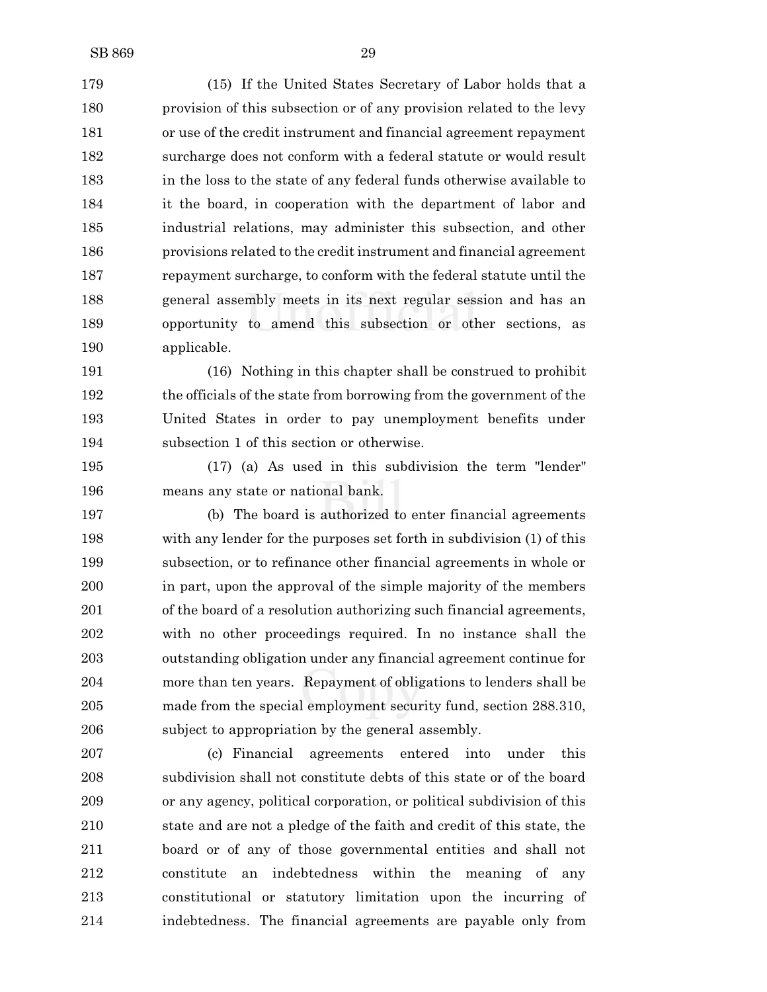(15) If the United States Secretary of Labor holds that a provision of this subsection or of any provision related to the levy or use of the credit instrument and financial agreement repayment surcharge does not conform with a federal statute or would result in the loss to the state of any federal funds otherwise available to it the board, in cooperation with the department of labor and industrial relations, may administer this subsection, and other provisions related to the credit instrument and financial agreement repayment surcharge, to conform with the federal statute until the general assembly meets in its next regular session and has an opportunity to amend this subsection or other sections, as applicable.

 (16) Nothing in this chapter shall be construed to prohibit the officials of the state from borrowing from the government of the United States in order to pay unemployment benefits under subsection 1 of this section or otherwise.

 (17) (a) As used in this subdivision the term "lender" means any state or national bank.

 (b) The board is authorized to enter financial agreements with any lender for the purposes set forth in subdivision (1) of this subsection, or to refinance other financial agreements in whole or in part, upon the approval of the simple majority of the members of the board of a resolution authorizing such financial agreements, with no other proceedings required. In no instance shall the outstanding obligation under any financial agreement continue for more than ten years. Repayment of obligations to lenders shall be made from the special employment security fund, section 288.310, subject to appropriation by the general assembly.

 (c) Financial agreements entered into under this subdivision shall not constitute debts of this state or of the board or any agency, political corporation, or political subdivision of this state and are not a pledge of the faith and credit of this state, the board or of any of those governmental entities and shall not constitute an indebtedness within the meaning of any constitutional or statutory limitation upon the incurring of indebtedness. The financial agreements are payable only from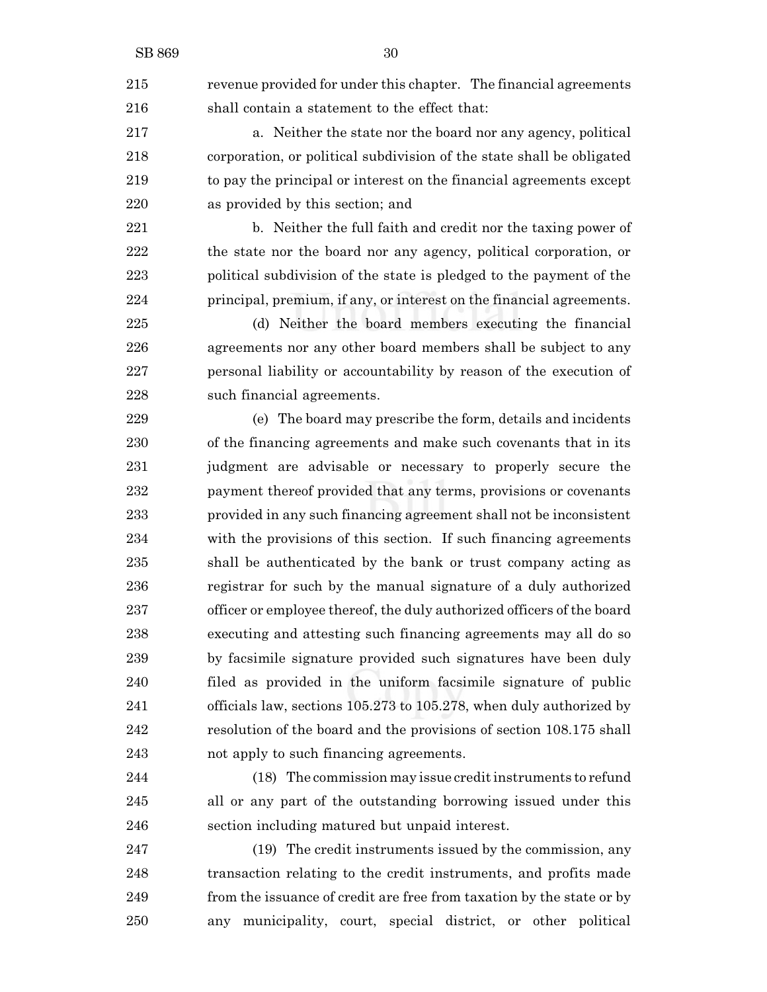revenue provided for under this chapter. The financial agreements shall contain a statement to the effect that:

 a. Neither the state nor the board nor any agency, political corporation, or political subdivision of the state shall be obligated to pay the principal or interest on the financial agreements except as provided by this section; and

 b. Neither the full faith and credit nor the taxing power of the state nor the board nor any agency, political corporation, or political subdivision of the state is pledged to the payment of the principal, premium, if any, or interest on the financial agreements.

 (d) Neither the board members executing the financial agreements nor any other board members shall be subject to any personal liability or accountability by reason of the execution of such financial agreements.

 (e) The board may prescribe the form, details and incidents of the financing agreements and make such covenants that in its judgment are advisable or necessary to properly secure the payment thereof provided that any terms, provisions or covenants provided in any such financing agreement shall not be inconsistent with the provisions of this section. If such financing agreements shall be authenticated by the bank or trust company acting as registrar for such by the manual signature of a duly authorized officer or employee thereof, the duly authorized officers of the board executing and attesting such financing agreements may all do so by facsimile signature provided such signatures have been duly filed as provided in the uniform facsimile signature of public officials law, sections 105.273 to 105.278, when duly authorized by resolution of the board and the provisions of section 108.175 shall not apply to such financing agreements.

 (18) The commission may issue credit instruments to refund all or any part of the outstanding borrowing issued under this section including matured but unpaid interest.

 (19) The credit instruments issued by the commission, any transaction relating to the credit instruments, and profits made from the issuance of credit are free from taxation by the state or by any municipality, court, special district, or other political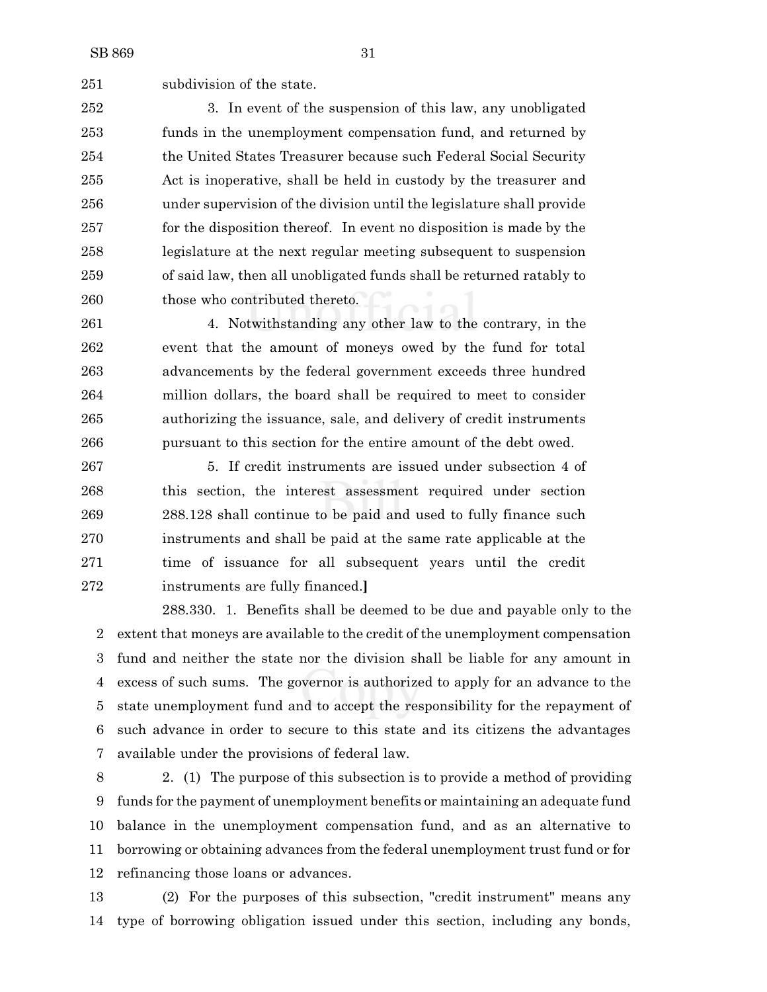subdivision of the state.

 3. In event of the suspension of this law, any unobligated funds in the unemployment compensation fund, and returned by the United States Treasurer because such Federal Social Security Act is inoperative, shall be held in custody by the treasurer and under supervision of the division until the legislature shall provide for the disposition thereof. In event no disposition is made by the legislature at the next regular meeting subsequent to suspension of said law, then all unobligated funds shall be returned ratably to 260 those who contributed thereto.

 4. Notwithstanding any other law to the contrary, in the event that the amount of moneys owed by the fund for total advancements by the federal government exceeds three hundred million dollars, the board shall be required to meet to consider authorizing the issuance, sale, and delivery of credit instruments pursuant to this section for the entire amount of the debt owed.

 5. If credit instruments are issued under subsection 4 of this section, the interest assessment required under section 288.128 shall continue to be paid and used to fully finance such instruments and shall be paid at the same rate applicable at the time of issuance for all subsequent years until the credit instruments are fully financed.**]**

288.330. 1. Benefits shall be deemed to be due and payable only to the extent that moneys are available to the credit of the unemployment compensation fund and neither the state nor the division shall be liable for any amount in excess of such sums. The governor is authorized to apply for an advance to the state unemployment fund and to accept the responsibility for the repayment of such advance in order to secure to this state and its citizens the advantages available under the provisions of federal law.

 2. (1) The purpose of this subsection is to provide a method of providing funds for the payment of unemployment benefits or maintaining an adequate fund balance in the unemployment compensation fund, and as an alternative to borrowing or obtaining advances from the federal unemployment trust fund or for refinancing those loans or advances.

 (2) For the purposes of this subsection, "credit instrument" means any type of borrowing obligation issued under this section, including any bonds,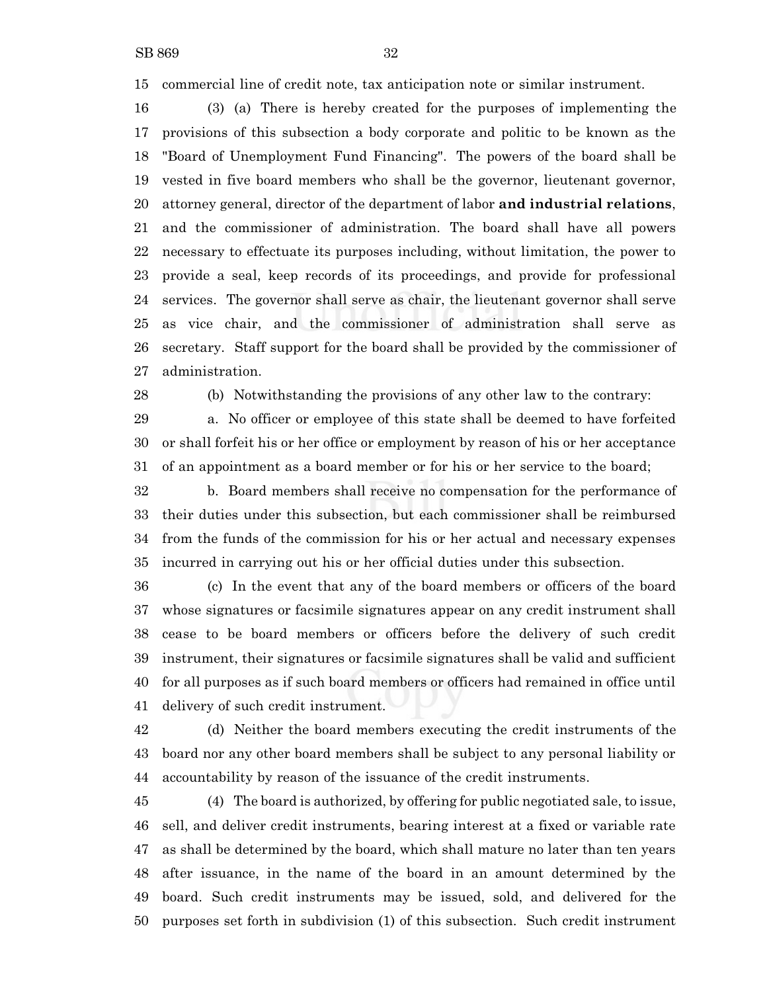commercial line of credit note, tax anticipation note or similar instrument.

 (3) (a) There is hereby created for the purposes of implementing the provisions of this subsection a body corporate and politic to be known as the "Board of Unemployment Fund Financing". The powers of the board shall be vested in five board members who shall be the governor, lieutenant governor, attorney general, director of the department of labor **and industrial relations**, and the commissioner of administration. The board shall have all powers necessary to effectuate its purposes including, without limitation, the power to provide a seal, keep records of its proceedings, and provide for professional services. The governor shall serve as chair, the lieutenant governor shall serve as vice chair, and the commissioner of administration shall serve as secretary. Staff support for the board shall be provided by the commissioner of administration.

(b) Notwithstanding the provisions of any other law to the contrary:

 a. No officer or employee of this state shall be deemed to have forfeited or shall forfeit his or her office or employment by reason of his or her acceptance of an appointment as a board member or for his or her service to the board;

 b. Board members shall receive no compensation for the performance of their duties under this subsection, but each commissioner shall be reimbursed from the funds of the commission for his or her actual and necessary expenses incurred in carrying out his or her official duties under this subsection.

 (c) In the event that any of the board members or officers of the board whose signatures or facsimile signatures appear on any credit instrument shall cease to be board members or officers before the delivery of such credit instrument, their signatures or facsimile signatures shall be valid and sufficient for all purposes as if such board members or officers had remained in office until delivery of such credit instrument.

 (d) Neither the board members executing the credit instruments of the board nor any other board members shall be subject to any personal liability or accountability by reason of the issuance of the credit instruments.

 (4) The board is authorized, by offering for public negotiated sale, to issue, sell, and deliver credit instruments, bearing interest at a fixed or variable rate as shall be determined by the board, which shall mature no later than ten years after issuance, in the name of the board in an amount determined by the board. Such credit instruments may be issued, sold, and delivered for the purposes set forth in subdivision (1) of this subsection. Such credit instrument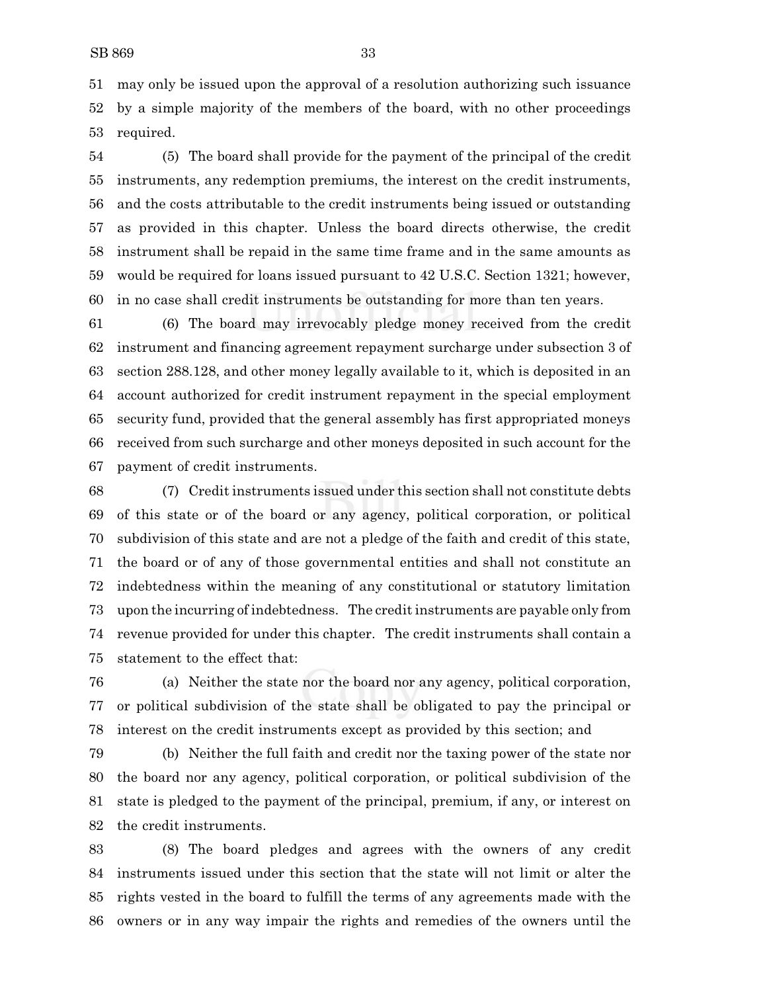may only be issued upon the approval of a resolution authorizing such issuance by a simple majority of the members of the board, with no other proceedings required.

 (5) The board shall provide for the payment of the principal of the credit instruments, any redemption premiums, the interest on the credit instruments, and the costs attributable to the credit instruments being issued or outstanding as provided in this chapter. Unless the board directs otherwise, the credit instrument shall be repaid in the same time frame and in the same amounts as would be required for loans issued pursuant to 42 U.S.C. Section 1321; however, in no case shall credit instruments be outstanding for more than ten years.

 (6) The board may irrevocably pledge money received from the credit instrument and financing agreement repayment surcharge under subsection 3 of section 288.128, and other money legally available to it, which is deposited in an account authorized for credit instrument repayment in the special employment security fund, provided that the general assembly has first appropriated moneys received from such surcharge and other moneys deposited in such account for the payment of credit instruments.

 (7) Credit instruments issued under this section shall not constitute debts of this state or of the board or any agency, political corporation, or political subdivision of this state and are not a pledge of the faith and credit of this state, the board or of any of those governmental entities and shall not constitute an indebtedness within the meaning of any constitutional or statutory limitation upon the incurring of indebtedness. The credit instruments are payable only from revenue provided for under this chapter. The credit instruments shall contain a statement to the effect that:

 (a) Neither the state nor the board nor any agency, political corporation, or political subdivision of the state shall be obligated to pay the principal or interest on the credit instruments except as provided by this section; and

 (b) Neither the full faith and credit nor the taxing power of the state nor the board nor any agency, political corporation, or political subdivision of the state is pledged to the payment of the principal, premium, if any, or interest on the credit instruments.

 (8) The board pledges and agrees with the owners of any credit instruments issued under this section that the state will not limit or alter the rights vested in the board to fulfill the terms of any agreements made with the owners or in any way impair the rights and remedies of the owners until the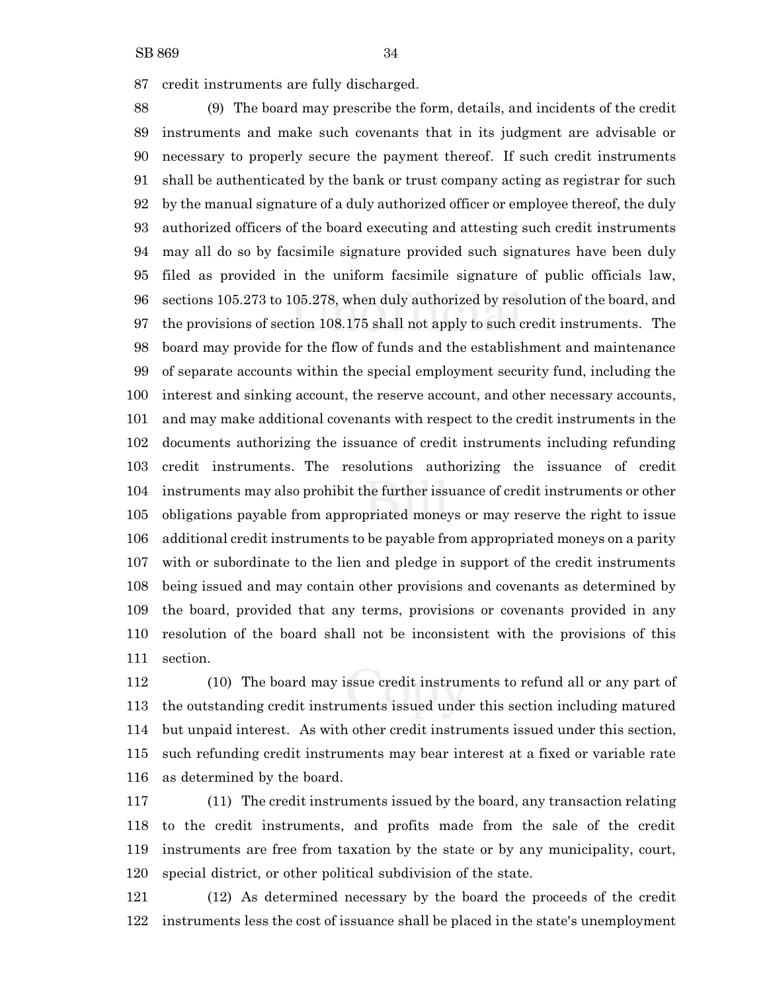credit instruments are fully discharged.

 (9) The board may prescribe the form, details, and incidents of the credit instruments and make such covenants that in its judgment are advisable or necessary to properly secure the payment thereof. If such credit instruments shall be authenticated by the bank or trust company acting as registrar for such by the manual signature of a duly authorized officer or employee thereof, the duly authorized officers of the board executing and attesting such credit instruments may all do so by facsimile signature provided such signatures have been duly filed as provided in the uniform facsimile signature of public officials law, sections 105.273 to 105.278, when duly authorized by resolution of the board, and the provisions of section 108.175 shall not apply to such credit instruments. The board may provide for the flow of funds and the establishment and maintenance of separate accounts within the special employment security fund, including the interest and sinking account, the reserve account, and other necessary accounts, and may make additional covenants with respect to the credit instruments in the documents authorizing the issuance of credit instruments including refunding credit instruments. The resolutions authorizing the issuance of credit instruments may also prohibit the further issuance of credit instruments or other obligations payable from appropriated moneys or may reserve the right to issue additional credit instruments to be payable from appropriated moneys on a parity with or subordinate to the lien and pledge in support of the credit instruments being issued and may contain other provisions and covenants as determined by the board, provided that any terms, provisions or covenants provided in any resolution of the board shall not be inconsistent with the provisions of this section.

 (10) The board may issue credit instruments to refund all or any part of the outstanding credit instruments issued under this section including matured but unpaid interest. As with other credit instruments issued under this section, such refunding credit instruments may bear interest at a fixed or variable rate as determined by the board.

 (11) The credit instruments issued by the board, any transaction relating to the credit instruments, and profits made from the sale of the credit instruments are free from taxation by the state or by any municipality, court, special district, or other political subdivision of the state.

 (12) As determined necessary by the board the proceeds of the credit instruments less the cost of issuance shall be placed in the state's unemployment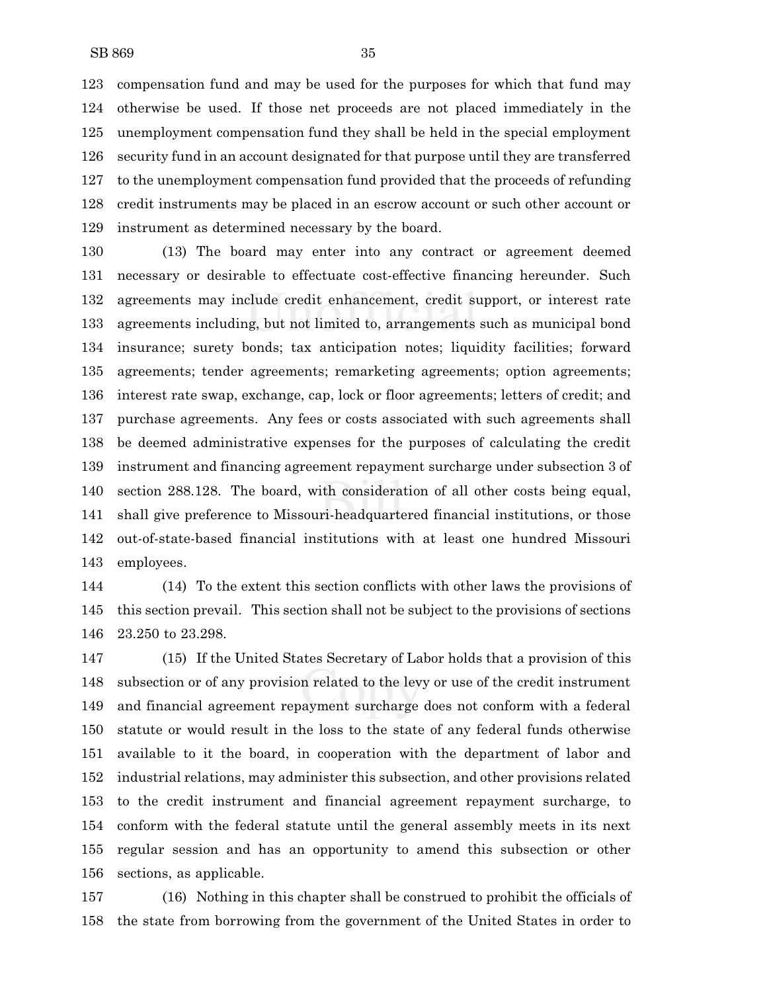compensation fund and may be used for the purposes for which that fund may otherwise be used. If those net proceeds are not placed immediately in the unemployment compensation fund they shall be held in the special employment security fund in an account designated for that purpose until they are transferred to the unemployment compensation fund provided that the proceeds of refunding credit instruments may be placed in an escrow account or such other account or instrument as determined necessary by the board.

 (13) The board may enter into any contract or agreement deemed necessary or desirable to effectuate cost-effective financing hereunder. Such agreements may include credit enhancement, credit support, or interest rate agreements including, but not limited to, arrangements such as municipal bond insurance; surety bonds; tax anticipation notes; liquidity facilities; forward agreements; tender agreements; remarketing agreements; option agreements; interest rate swap, exchange, cap, lock or floor agreements; letters of credit; and purchase agreements. Any fees or costs associated with such agreements shall be deemed administrative expenses for the purposes of calculating the credit instrument and financing agreement repayment surcharge under subsection 3 of section 288.128. The board, with consideration of all other costs being equal, shall give preference to Missouri-headquartered financial institutions, or those out-of-state-based financial institutions with at least one hundred Missouri employees.

 (14) To the extent this section conflicts with other laws the provisions of this section prevail. This section shall not be subject to the provisions of sections 23.250 to 23.298.

 (15) If the United States Secretary of Labor holds that a provision of this subsection or of any provision related to the levy or use of the credit instrument and financial agreement repayment surcharge does not conform with a federal statute or would result in the loss to the state of any federal funds otherwise available to it the board, in cooperation with the department of labor and industrial relations, may administer this subsection, and other provisions related to the credit instrument and financial agreement repayment surcharge, to conform with the federal statute until the general assembly meets in its next regular session and has an opportunity to amend this subsection or other sections, as applicable.

 (16) Nothing in this chapter shall be construed to prohibit the officials of the state from borrowing from the government of the United States in order to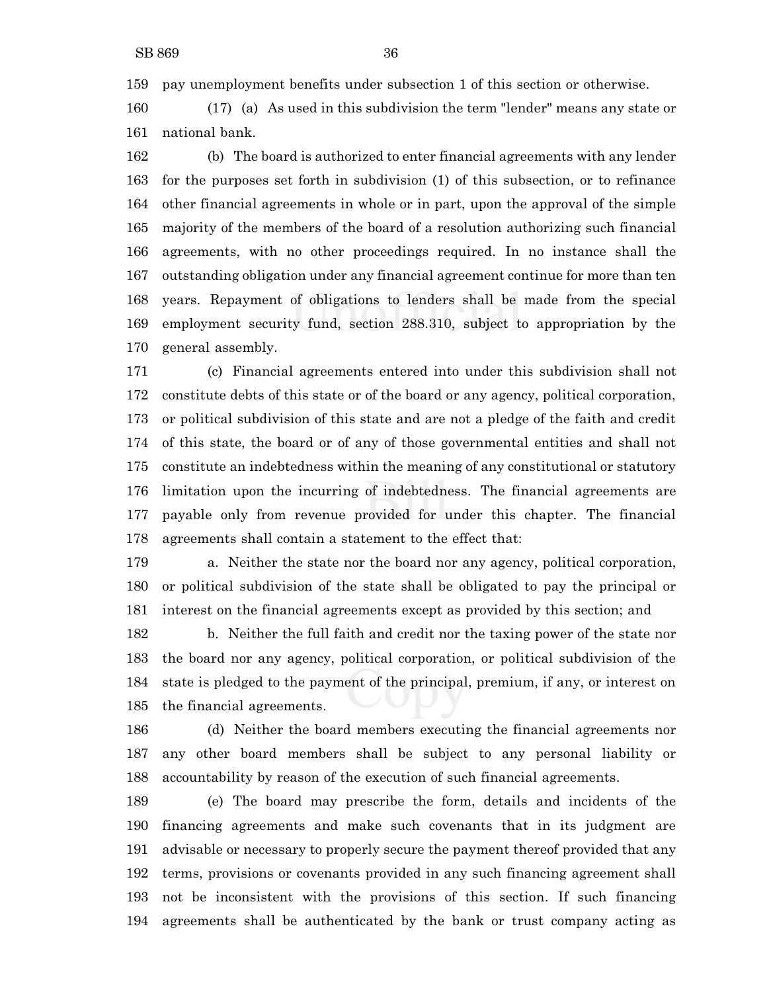pay unemployment benefits under subsection 1 of this section or otherwise.

 (17) (a) As used in this subdivision the term "lender" means any state or national bank.

 (b) The board is authorized to enter financial agreements with any lender for the purposes set forth in subdivision (1) of this subsection, or to refinance other financial agreements in whole or in part, upon the approval of the simple majority of the members of the board of a resolution authorizing such financial agreements, with no other proceedings required. In no instance shall the outstanding obligation under any financial agreement continue for more than ten years. Repayment of obligations to lenders shall be made from the special employment security fund, section 288.310, subject to appropriation by the general assembly.

 (c) Financial agreements entered into under this subdivision shall not constitute debts of this state or of the board or any agency, political corporation, or political subdivision of this state and are not a pledge of the faith and credit of this state, the board or of any of those governmental entities and shall not constitute an indebtedness within the meaning of any constitutional or statutory limitation upon the incurring of indebtedness. The financial agreements are payable only from revenue provided for under this chapter. The financial agreements shall contain a statement to the effect that:

 a. Neither the state nor the board nor any agency, political corporation, or political subdivision of the state shall be obligated to pay the principal or interest on the financial agreements except as provided by this section; and

 b. Neither the full faith and credit nor the taxing power of the state nor the board nor any agency, political corporation, or political subdivision of the state is pledged to the payment of the principal, premium, if any, or interest on the financial agreements.

 (d) Neither the board members executing the financial agreements nor any other board members shall be subject to any personal liability or accountability by reason of the execution of such financial agreements.

 (e) The board may prescribe the form, details and incidents of the financing agreements and make such covenants that in its judgment are advisable or necessary to properly secure the payment thereof provided that any terms, provisions or covenants provided in any such financing agreement shall not be inconsistent with the provisions of this section. If such financing agreements shall be authenticated by the bank or trust company acting as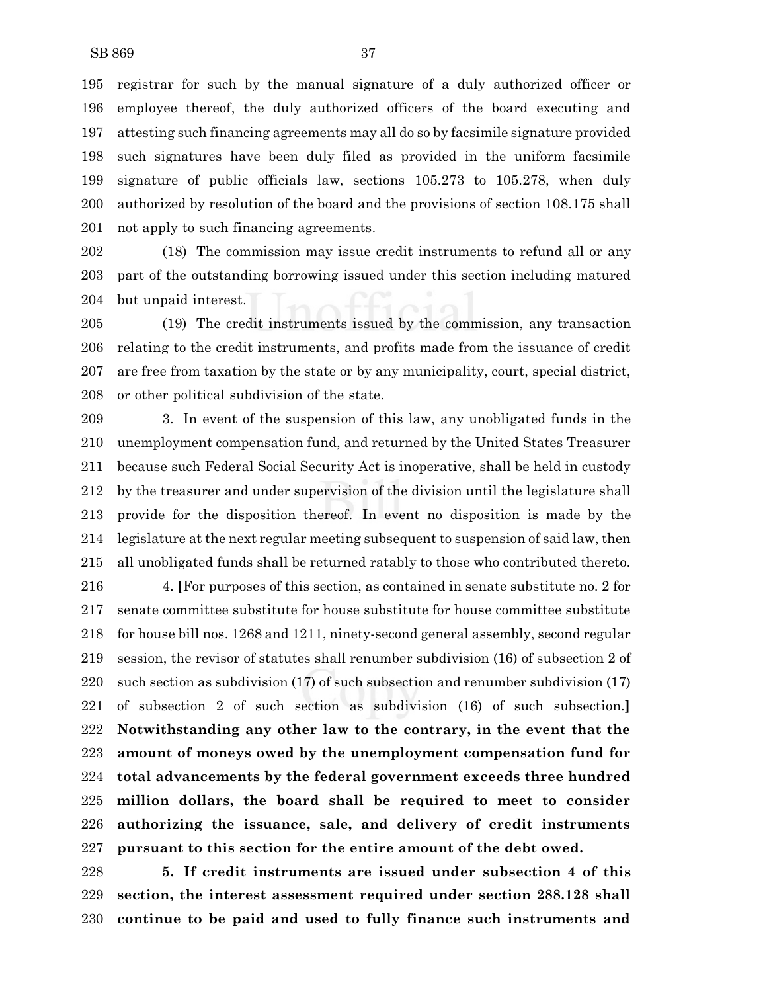registrar for such by the manual signature of a duly authorized officer or employee thereof, the duly authorized officers of the board executing and attesting such financing agreements may all do so by facsimile signature provided such signatures have been duly filed as provided in the uniform facsimile signature of public officials law, sections 105.273 to 105.278, when duly authorized by resolution of the board and the provisions of section 108.175 shall not apply to such financing agreements.

 (18) The commission may issue credit instruments to refund all or any part of the outstanding borrowing issued under this section including matured but unpaid interest.

 (19) The credit instruments issued by the commission, any transaction relating to the credit instruments, and profits made from the issuance of credit are free from taxation by the state or by any municipality, court, special district, or other political subdivision of the state.

 3. In event of the suspension of this law, any unobligated funds in the unemployment compensation fund, and returned by the United States Treasurer because such Federal Social Security Act is inoperative, shall be held in custody by the treasurer and under supervision of the division until the legislature shall provide for the disposition thereof. In event no disposition is made by the legislature at the next regular meeting subsequent to suspension of said law, then all unobligated funds shall be returned ratably to those who contributed thereto.

 4. **[**For purposes of this section, as contained in senate substitute no. 2 for senate committee substitute for house substitute for house committee substitute for house bill nos. 1268 and 1211, ninety-second general assembly, second regular session, the revisor of statutes shall renumber subdivision (16) of subsection 2 of such section as subdivision (17) of such subsection and renumber subdivision (17) of subsection 2 of such section as subdivision (16) of such subsection.**] Notwithstanding any other law to the contrary, in the event that the amount of moneys owed by the unemployment compensation fund for total advancements by the federal government exceeds three hundred million dollars, the board shall be required to meet to consider authorizing the issuance, sale, and delivery of credit instruments pursuant to this section for the entire amount of the debt owed.**

 **5. If credit instruments are issued under subsection 4 of this section, the interest assessment required under section 288.128 shall continue to be paid and used to fully finance such instruments and**